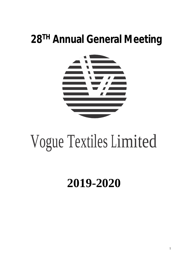## **28TH Annual General Meeting**



# Vogue Textiles Limited

## **2019-2020**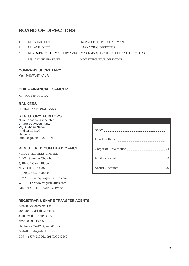### **BOARD OF DIRECTORS**

- 1 Mr. SUNIL DUTT NON-EXECUTIVE CHAIRMAN
	-
- 2 Mr. ANIL DUTT MANAGING DIRECTOR
- 3 Mr. JOGENDER KUMAR MINOCHA NON-EXECUTIVE INDEPENDENT DIRECTOR
- 

4 MS. AKANKSHA DUTT NON-EXECUTIVE DIRECTOR

#### **COMPANY SECRETARY**

Mrs. JASWANT KAUR

#### **CHIEF FINANCIAL OFFICER**

Mr. YOGESH KALRA

#### **BANKERS**

PUNJAB NATIONAL BANK

#### **STATUTORY AUDITORS**

Nitin Kapoor & Associates Chartered Accountants 79, Sukhdev Nagar Panipat-132103 Haryana Firm Regd. No. : 021107N

#### **REGISTERED CUM HEAD OFFICE**

VOGUE TEXTILES LIMITED A-206, Somdatt Chambers - I, 5, Bhikaji Cama Place, New Delhi - 110 066. PH.NO-011-26170298 E-MAIL : [info@voguetextiles.com](mailto:info@voguetextiles.com) WEBSITE: [www.voguetextiles.com](http://www.voguetextiles.com) CIN-U18101DL1992PLC049370

| Corporate Governance ___________________                                                                                                                                                                                                                                                         |  |
|--------------------------------------------------------------------------------------------------------------------------------------------------------------------------------------------------------------------------------------------------------------------------------------------------|--|
| Auditor's Report $\frac{1}{2}$ = $\frac{1}{2}$ = $\frac{1}{2}$ = $\frac{1}{2}$ = $\frac{1}{2}$ = $\frac{1}{2}$ = $\frac{1}{2}$ = $\frac{1}{2}$ = $\frac{1}{2}$ = $\frac{1}{2}$ = $\frac{1}{2}$ = $\frac{1}{2}$ = $\frac{1}{2}$ = $\frac{1}{2}$ = $\frac{1}{2}$ = $\frac{1}{2}$ = $\frac{1}{2}$ = |  |
| Annual Accounts                                                                                                                                                                                                                                                                                  |  |

#### **REGISTRAR & SHARE TRANSFER AGENTS**

Alankit Assignments Ltd. 205-208,Anarkali Complex Jhandewalan Extension, New Delhi-110055 Ph. No - 23541234, 42541955 E-MAIL : [info@alankit.com](mailto:info@alankit.com) CIN : U74210DL1991PLC042569  $\overline{\phantom{a}}$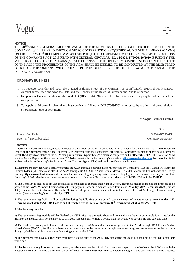Vogue

#### **NOTICE**

THE **28TH**ANNUAL GENERAL MEETING ('AGM') OF THE MEMBERS OF THE VOGUE TEXTILES LIMITED ("THE COMPANY') WILL BE HELD THROUGH VIDEO CONFERENCING [(VC)/OTHER AUDIO-VISUAL MEANS (OAVM)] ON **THURSDAY, 31ST DECEMBER 2020 AT 02:00 P.M**. (IST) IN COMPLIANCE WITH THE APPLICABLE PROVISIONS OF THE COMPANIES ACT, 2013 READ WITH GENERAL CIRCULAR NO. **14/2020, 17/2020, 20/2020** ISSUED BY THE MINISTRY OF CORPORATE AFFAIRS (MCA) TO TRANSACT THE ORDINARY BUSINESS SET OUT IN THE NOTICE OF THE AGM. THE PROCEEDINGS OF THE AGM SHALL BE DEEMED TO BE CONDUCTED AT THE REGISTERED OFFICE OF THECOMPANY WHICH SHALL BE THE DEEMED VENUE OF THE AGM TO TRANSACT THE FOLLOWING BUSINESS:-

#### **ORDINARY BUSINESS**

- 1. To receive, consider and adopt the Audited Balance Sheet of the Company as at 31<sup>st</sup> March 2020 and Profit & Loss Account forthe year ended on that date and the Reports of the Board of Directors and Auditors thereon.
- 2. To appoint a Director in place of Mr. Sunil Dutt (DIN 01514028) who retires by rotation and being eligible, offers himself for re-appointment.
- 3. To appoint a Director in place of Mr. Jogender Kumar Minocha (DIN 07069120) who retires by rotation and being eligible, offers himself for re-appointment.

For **Vogue Textiles Limited**

Sd/-

Place: New Delhi **JASWANT KAUR** Date: 07<sup>th</sup> December 2020

Company Secretary

#### **NOTES**

1. Pursuant to aforesaid circulars, electronic copies of the Notice of the AGM along-with Annual Report for the Financial Year **2019-20** will be sent to all the members whose E-mail addresses are registered with the Depository Participant(s), Company (in case of shares held in physical form).The dispatch of Notice of the AGM along-with Annual Report through e-mails be completed on **09th December 2020**. The Notice of AGM and the Annual Report for the Financial Year **2019-20** are available on the Company's website at **<https://voguetextiles.com>**. Notice of the AGM is also available on Company's Registrar and Share Transfer Agent (RTA) website **<https://www.alankit.com.>**

2. Members are provided with a facility to attend the AGM through electronic platform provided by Company's RTA viz .Alankit Assignments Limited (Alankit).Members can attend the AGM through [(VC) / Other Audio-Visual Means (OAVM)] to view the live web cast of AGM by visiting **<https://www.alankit.com>** under shareholder/members login by using their remote e-voting login credentials and selecting the event for Company's AGM. Members who need assistance before or during the AGM may contact Alankit at **011-23541234 or 011-42541955**.

3. The Company is pleased to provide the facility to members to exercise their right to vote by electronic means on resolutions proposed to be passed at the AGM. Members holding share either in physical form or in dematerialized form as on **Monday, 24th December 2020** (Cut-off date), can cast their vote electronically on the Ordinary and Special Businesses as set out in the Notice of the AGM through electronic voting system ("remote e-voting") as provided by NSDL.

4. The remote e-voting facility will be available during the following voting period: commencement of remote e-voting from **Monday, 28th December 2020 at 9:00 A.M. (IST)**and to end of remote e-voting up-to **Wednesday, 30th December 2020 at 5:00 P.M. (IST)**

5. Members may note that :

a) The remote e-voting module will be disabled by NSDL after the aforesaid dates and time and once the vote on a resolution is cast by the member, the member shall not be allowed to change it subsequently. Remote e-voting shall not be allowed beyond the said date and time.

b) The facility for voting will also be made available during the AGM and those members present in the AGM through [(VC)/Other Audio-Visual Means (OAVM)] facility, who have not cast their vote on the resolutions through remote a-voting, and are otherwise not barred from doing so**,** shall be eligible to vote through e-voting system at the AGM .

c) The members who have cast their vote by remote e-voting prior to the AGM may also attend the AGM but shall not be entitled to cast their vote again.

6. Members are hereby informed that any person, who becomes member of this Company after dispatch of the Notice or the AGM through the electronic means and holding shares as on the cut-off date viz .**24th December 2020**, can obtain the login ID and password by sending a request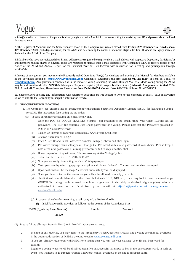

at [info@alankit.com.](mailto:info@alankit.com.) However, if a person is already registered with **Alankit** for remote e-voting then existing user ID and password can be Used for casting vote.

7. The Register of Members and the Share Transfer books of the Company will remain closed from **Friday, 25th December to Wednesday, 30th December 2020** (both days inclusive) for the AGM and determining the names of members eligible for final Dividend on Equity shares, if declared at the AGM of the Company.

8. Members who have not registered their E-mail addresses are requested to register their e-mail address with respective Depository Participant(s) and members holding shares in physical mode are requested to upload their e-mail addresses with Company's RTA, to receive copies of the Notice of the AGM and Annual Report for the Financial Year 2019-20 together-with instruction for e-voting and participation through VC/OAVM.

9. In case of any queries, you may refer the Frequently Asked Questions (FAQs) for Members and e-voting User Manual for Members available in the download section of **<https://www.evoting.nsdl.com>** Company's Registrar's toll free Number **011-23541234** or send an E-mail to **[rta@alankit.com.](mailto:rta@alankit.com.)** Any grievances connected with the remote e-voting, attending the AGM through VC/OAV Mode-voting during the AGM may be addressed to Mr. **J.K. SINGLA,** Manager - Corporate Registry (Unit: Vogue Textiles Limited) **Alankit Assignments Limited, 205- 208, Anarkali Complex, Jhandewalan Extension, New Delhi-110055. Contact Nos. 011-23541234 or 011-42541955.**

**10.** Shareholders seeking any information with regard to accounts are requested to write to the company at least 7 days in advance so as to enable the Company to keep the information ready.

#### 11**. PROCEDUREFOR E-VOTING**

- 1. The Company has entered into an arrangement with National Securities Depository Limited (NSDL) for facilitating e-voting for AGM. The instruction for e-voting are as under:-
	- (a) In case of Members receiving an e-mail from NSDL.
		- (i) Open the PDF file VOGUE TEXTILES e-voting pdf attached to the email, using your Client ID/Folio No. as password. The PDF file contains User ID and password for e-voting. Please note that the Password provided in PDF is an "Initial Password"
		- (ii) Launch an internet browser and open <https://> [www.evoting.nsdl.com](http://www.evoting.nsdl.com)
		- (iii) Click on Shareholder- Login
		- (iv) Insert "User ID" and Initial Password as noted in step (i) above and click login
		- (v) Password change menu will appear, Change the Password with a new password of your choice. Please keep a note ofthe new password, It is strongly recommended to keep it confidential.
		- (vi) Home page of e-voting will open, Click on e-voting Active Voting Cycles.
		- (vii) Select EVEN of VOGUE TEXTILES 115120.
		- (viii) Now you are ready for e-voting as'Cast Vote'-page open.
		- ( ix) Cast your vote by selecting appropriate option and click on 'submit' . Click on confirm when prompted.
		- (x) Upon confirmation the message "Vote cast successfully" will be displayed.
		- (xi) Once you have voted on the resolution you will not be allowed to modify your vote.
		- (xii) Institutional shareholders (i.e.. other than individuals, HUF, NRI, etc.) are required to send scanned copy (PDF/JPG) along with attested specimen signature of the duly authorized signatory(ies) who are authorized to vote, to the Scrutinizer by an e-mail at [aijazfcs@gmail.com](mailto:aijazfcs@gmail.com) with a copy marked to [evoting@nsdl.co.in.](mailto:evoting@nsdl.co.in.)
		- (b) In case of shareholders receiving email copy of the Notice of AGM.
		- (i) Initial Password is provided, asfollows at the bottom of the Attendance Slip.

| EVEN (E_-Voting Event Number) | User Id | Password |  |
|-------------------------------|---------|----------|--|
| 15120                         |         |          |  |

(ii) Please follow all steps from Sr. No-(i) to Sr. No-(xii) above to cast vote.

- 2. In case of any queries, you may refer to the Frequently Asked Questions (FAQs) and e-voting user manual available in the downloads section of NSDL's e-voting website [www.evoting.nsdl.com.](http://www.evoting.nsdl.com.)
- 3. If you are already registered with NSDL for e-voting then you can use your existing User ID and Password for casting
- 4. Login to e-voting website will be disabled upon five unsuccessful attempts to key-in the correct password, in such an event , you will need to go through " Forgot Password" option available on the site to reset the same.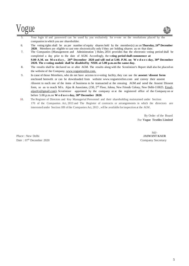

- 5. Your login id and password can be used by you exclusively for e-vote on the resolutions placed by the companiesin which you are shareholder.
- 6. The voting rights shall be as per number of equity shares held by the member(s) as on **Thursday, 24 th December 2020**. Members are eligible to cast vote electronically only if they are holding shares as on that date.
	- 7. The Companies (Management and Administration ) Rules, 2014 provides that the electronic voting period shall be completed a day prior to the date of AGM. Accordingly, the vo**ting period shall commence at 9.00 A.M. on M o n d a y , 28 th December 2020 and will end at 5.00. P.M. on W e d n e s day, 30th December 2020. The e-voting module shall be disabled by NSDL at 5.00 p.m.on the same day.**
	- 8. The results shall be declared on or after AGM. The results along with the Scrutinizer's Report shall also be placed on the website of the Company, [www.voguetextiles.com.](http://www.voguetextiles.com.)
	- 9. In case of those Members, who do not have access to e-voting facility, they can use the **assent / dissent form**  enclosed herewith or can be downloaded from website [www.voguetextlies.com](http://www.voguetextlies.com) and convey their assent /dissent to each one of the items of business to be transacted at the ensuing AGM and send the Assent/ Dissent form, so as to reach M/s. Aijaz & Associates, (150, 2<sup>nd</sup> Floor, Julena, New Friends Colony, New Delhi-110025. Email[aijazfcs@gmail.com\),](mailto:aijazfcs@gmail.com),) Scrutinizer appointed by the company or at the registered office of the Company on or before 5.00.p.m.on **W e d n e s day, 30th December 2020**.
	- 10. The Register of Directors and Key Managerial Personnel and their shareholding maintained under Section 170 of the Companies Act, 2013 and The Register of contracts or arrangements in which the directors are interested under Section 189 ofthe Companies Act, 2013 , will be available forinspection at the AGM .

By Order of the Board For **Vogue Textiles Limited**

Place : New Delhi **JASWANT KAUR** Date: 07<sup>th</sup> December 2020

Sd/- Company Secretary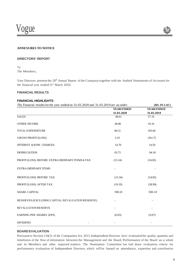



#### **ANNEXURES TO NOTICE**

#### **DIRECTORS' REPORT**

To The Members,

Your Directors present the 28<sup>th</sup> Annual Report of the Company together with the Audited Statements of Accounts for the financial year ended 31<sup>st</sup> March 2020.

#### **FINANCIAL RESULTS**

#### **FINANCIAL HIGHLIGHTS**

| The Financial results for the year ended on 31.03.2020 and 31.03.2019 are as under: | (RS. IN LAC) |                   |
|-------------------------------------------------------------------------------------|--------------|-------------------|
|                                                                                     | YEAR ENDED   | <b>YEAR ENDED</b> |
|                                                                                     | 31.03.2020   | 31.03.2019        |
| <b>SALES</b>                                                                        | 49.61        | 57.33             |
| OTHER INCOME                                                                        | 40.00        | 10.16             |
| TOTAL EXPENDITURE                                                                   | 86.51        | 103.66            |
| <b>GROSS PROFIT/(LOSS)</b>                                                          | 3.10         | (36.17)           |
| <b>INTEREST &amp; BANK CHARGES</b>                                                  | 14.70        | 14.50             |
| <b>DEPRECIATION</b>                                                                 | 03.75        | 04.18             |
| PROFIT/(LOSS) BEFORE EXTRA ORDINARY ITEMS & TAX                                     | (15.34)      | (54.85)           |
| <b>EXTRA ORDINARY ITEMS</b>                                                         |              |                   |
| PROFIT/(LOSS) BEFORE TAX                                                            | (15.34)      | (54.85)           |
| PROFIT/(LOSS) AFTER TAX                                                             | (19.19)      | (58.99)           |
| SHARE CAPITAL                                                                       | 590.10       | 590.10            |
| RESERVES (EXCLUDING CAPITAL/REVALUATION RESERVE)                                    |              |                   |
| REVALUATION RESERVE                                                                 |              |                   |
| <b>EARNING PER SHARES (EPS)</b>                                                     | (0.03)       | (0.07)            |
| <b>DIVIDEND</b>                                                                     |              |                   |

#### **BOARD EVALUATION**

Pursuant to Section 134(3) of the Companies Act, 2013, Independent Directors have evaluated the quality, quantity and timeliness of the flow of information between the Management and the Board, Performance of the Board as a whole and its Members and other required matters. The Nomination Committee has laid down evaluation criteria for performance evaluation of Independent Directors, which will be based on attendance, expertise and contribution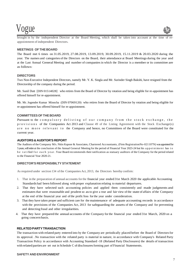

brought in by the independent Director at the Board Meeting, which shall be taken into account at the time of reappointment of independent Directors.

#### **MEETINGS OFTHEBOARD**

The Board met 6 times on 31.05.2019, 27.08.2019, 13.09.2019, 30.09.2019, 15.11.2019 & 20.03.2020 during the year. The names and categories of the Directors on the Board, their attendance at Board Meetings during the year and at the Last Annual General Meeting and number of companiesin which the Director is a member or its committee are as follows:

#### **DIRECTORS**

Two Non-Executive Independent Directors, namely Mr. Y. K. Singla and Mr. Surinder Singh Bakshi, have resigned from the Directorship of the company during the period.

Mr. Sunil Dutt [DIN 01514028] who retires from the Board of Director by rotation and being eligible for re-appointment has offered himself for re-appointment.

Mr. Mr. Jogender Kumar Minocha (DIN 07069120) who retires from the Board of Director by rotation and being eligible for re-appointment has offered himself for re-appointment.

#### **COMMITTEESOFTHEBOARD**

Pursuant to the compuls ory delisting of our company from the stock exchange, the p r o v i s i o n s of the Companies Act 2013 and Clause 49 of the Listing Agreement with the Stock Exchange(s) are no more relevant to the Company and hence, no Committees of the Board were constituted for the current year.

#### **AUDITORS & AUDITOR'S REPORT**

The Auditors of the Company M/s. Nitin Kapoor & Associates, Chartered Accountants, (Firm RegistrationNo-021107N) was appointed for 5 years, will retire at the conclusion of the Annual General Meeting for the period of Financial Year 2023-24 but his appointment has to be ratified for each year. Your Board recommends their ratification as statuary auditors of the Company for the period related to the Financial Year 2020-21.

#### **DIRECTOR'S RESPONSIBILTYSTATEMENT**

As required under section 134 of the Companies Act, 2013, the Directors hereby confirm:

- 1. That in the preparation of annual accounts for the financial year ended 31st March 2020 the applicable Accounting Standards had been followed along with proper explanation relating to material departures.
- 2. That they have selected such accounting policies and applied them consistently and made judgments and estimates that were reasonable and prudent so as to give a true and fair view of the state of affairs of the Company at the end ofthe financial year and ofthe profit /loss forthe year under consideration.
- 3. That they have taken proper and sufficient care for the maintenance of adequate accounting records in accordance with the provisions of the Companies Act, 2013 for safeguarding the assets of the Company and for preventing and detecting fraud and other irregularities.
- 4. That they have prepared the annual accounts of the Company for the financial year ended 31st March, 2020 on a going concern basis.

#### **RELATED PARTYTRANSACTION**

The transaction with related party entered into by the Company are periodically placed before the Board of Directorsfor its approval. .No transaction with the related party is material in nature, in accordance with Company's Related Party Transaction Policy in accordance with Accounting Standard -18 (Related Party Disclosures) the details of transaction with related parties are set out in Schedule C of disclosuresforming part of Financial Statements.

#### **SAFETY AND ENVIRONMENT**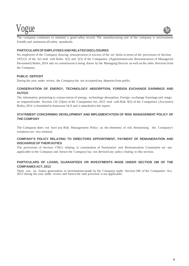

The company continues to maintain a good safety record. The manufacturing unit of the company is environment friendly and maintains all safety standards.

#### **PARTICULARSOF EMPLOYEES AND RELATED DISCLOSURES**

No employee of the Company drawing remuneration in excess of the set limits in terms of the provisions of Section 197(12) of the Act read with Rules 5(2) and 5(3) of the Companies (Appointment and Remuneration of Managerial Personnel) Rules, 2014 and no commission is being drawn by the Managing Director as well asthe other directorsfrom the Company.

#### **PUBLIC DEPOSIT**

During the year under review, the Company has not accepted any deposits from public.

#### **CONSERVATION OF ENERGY, TECHNOLOGY ABSORPTION, FOREIGN EXCHANGE EARNINGS AND OUTGO**

The information pertaining to conservation of energy, technology absorption, Foreign exchange Earnings and outgo as required under Section 134 (3)(m) of the Companies Act, 2013 read with Rule 8(3) of the Companies (Accounts) Rules, 2014 is furnished in Annexure I & II and is attached to this report.

#### **STATEMENT CONCERNING DEVELOPMENT AND IMPLEMENTATION OF RISK MANAGEMENT POLICY OF THE COMPANY**

The Company does not have any Risk Management Policy as the elements of risk threatening the Company's existence are very minimal.

#### **COMPANY'S POLICY RELATING TO DIRECTORS APPOINTMENT, PAYMENT OF REMUNERATION AND DISCHARGEOFTHEIR DUTIES**

The provisions of Section 178(1) relating to constitution of Nomination and Remuneration Committee are not applicable to the Company and hence the Company has not devised any policy relating to this section.

#### **PARTICULARS OF LOANS, GUARANTEES OR INVESTMENTS MADE UNDER SECTION 186 OF THE COMPANIES ACT, 2013**

There was no loans, guarantees or investmentsmade by the Company under Section 186 of the Companies Act, 2013 during the year under review and hence the said provision is not applicable.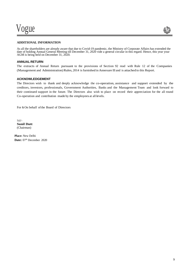Vogue



#### **ADDITIONAL INFORMATION**

 As all the shareholders are already aware that due to Covid-19 pandemic, the Ministry of Corporate Affairs has extended the date of holding Annual General Meeting till December 31, 2020 vide a general circular in this regard. Hence, this year your AGM is being held on December 31, 2020.

#### **ANNUAL RETURN**

The extracts of Annual Return pursuant to the provisions of Section 92 read with Rule 12 of the Companies (Management and Administration) Rules, 2014 is furnished in Annexure III and is attached to this Report.

#### **ACKNOWLEDGEMENT**

The Directors wish to thank and deeply acknowledge the co-operation, assistance and support extended by the creditors, investors, professionals, Government Authorities, Banks and the Management Team and look forward to their continued support in the future. The Directors also wish to place on record their appreciation for the all round Co-operation and contribution made by the employees at all levels.

For & On behalf ofthe Board of Directors

Sd/- **Sunil Dutt** (Chairman)

**Place:** New Delhi Date: 07<sup>th</sup> December 2020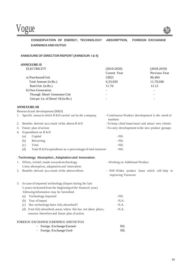

#### **CONSERVATION OF ENERGY, TECHNOLOGY EARNINGSANDOUTGO FOREIGN EXCHANGE**

#### **ANNEXURE OF DIRECTOR REPORT (ANNEXUR- I & II)**

### **ANNEXURE-II**

| <b>ELECTRICITY</b>                   | $(2019-2020)$ | $(2018-2019)$ |
|--------------------------------------|---------------|---------------|
|                                      | Current Year  | Previous Year |
| a) Purchased Unit                    | 53823         | 96.494        |
| Total Amount (in Rs.)                | 6,33,020      | 11,70,046     |
| Rate/Unit (in Rs.)                   | 11.76         | 12.12         |
| b) Own Generation                    |               |               |
| Through Diesel Generator Unit        | -             |               |
| Unit per Ltr. of Diesel Oil (in Rs.) | -             | -             |
|                                      |               |               |

#### **ANNEXURE-III**

Research and development (R&D)

|     | 1. Specific areas in which $R \& D$ carried out by the company | - Continuous Product development is the need of<br>markets |
|-----|----------------------------------------------------------------|------------------------------------------------------------|
|     | 2. Benefits derived as a result of the above $R \& D$          | - To keep client base intact and attract new clients       |
|     | 3. Future plan of action                                       | - To carry development in the new product groups           |
|     | 4. Expenditure on $R & D$                                      |                                                            |
| (a) | Capital                                                        | $-$ NIL                                                    |
| (b) | Recurring                                                      | $-NIL$                                                     |

- (c) Total NIL
- (d) Total R & D expenditure as a percentage of total turnover NIL

#### . **Technology Absorption , Adaptation and Innovation.**

| 1. Efforts, in brief, made towards technology             | - Working on Additional Product                                    |
|-----------------------------------------------------------|--------------------------------------------------------------------|
| Lines absorption, adaptation and innovation               |                                                                    |
| 2. Benefits derived as a result of the above efforts      | - Will Widen product base which will help in<br>improving Turnover |
| 3. In case of imported technology (Import during the last |                                                                    |

- 5 years reckoned from the beginning of the financial year) following information may be furnished.
	- (a) Technology imported NIL
	- (b) Year of import N.A. (c) Has technology been fully absorbed? - N.A.
	- (d) If not fully absorbed, areas where this has not taken place, N.A. reasons therefore and future plan of action

#### FOREIGN EXCHANGE EARNINGS AND OUTGO

|  | - Foreign Exchange Earned-                                                                                                                  |  |
|--|---------------------------------------------------------------------------------------------------------------------------------------------|--|
|  | $\Gamma_{\text{c}}$ and $\Gamma_{\text{c}}$ and $\Gamma_{\text{c}}$ and $\Gamma_{\text{c}}$ and $\Gamma_{\text{c}}$ and $\Gamma_{\text{c}}$ |  |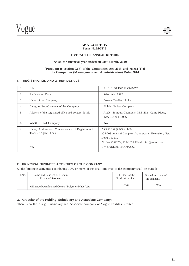Vogue



#### **ANNEXURE-IV Form No.MGT-9**

#### **EXTRACT OF ANNUAL RETURN**

#### **As on the financial year ended on 31st March, 2020**

#### **[Pursuant to section 92(3) of the Companies Act, 2013 and rule12 (1)of the Companies (Management and Administration) Rules,2014**

#### **I. REGISTRATION AND OTHER DETAILS:**

|                          | <b>CIN</b>                                                                           | U18101DL1992PLC049370                                                                                                                                                             |
|--------------------------|--------------------------------------------------------------------------------------|-----------------------------------------------------------------------------------------------------------------------------------------------------------------------------------|
| 2                        | <b>Registration Date</b>                                                             | 01st July, 1992                                                                                                                                                                   |
| 3                        | Name of the Company                                                                  | Vogue Textiles Limited                                                                                                                                                            |
| 4                        | Category/Sub-Category of the Company                                                 | Public Limited Company                                                                                                                                                            |
| $\overline{\phantom{1}}$ | Address of the registered office and contact details                                 | A-206, Somdutt Chambers-I,5, Bhikaji Cama Place,<br>New Delhi-110066                                                                                                              |
| 6                        | Whether listed Company                                                               | N <sub>0</sub>                                                                                                                                                                    |
|                          | Name, Address and Contact details of Registrar and<br>Transfer Agent, if any<br>CIN: | Alankit Assignments Ltd.<br>205-208, Anarkali Complex Jhandewalan Extension, New<br>Delhi-110055<br>Ph. No - 23541234, 42541955 E-MAIL: info@alankit.com<br>U74210DL1991PLC042569 |

#### **2. PRINCIPAL BUSINESS ACTIVITIES OF THE COMPANY**

All the business activities contributing 10% or more of the total turn over of the company shall be stated:-

| Sl.No. | Name and Description of main                     | NIC Code of the | % total turn over of |
|--------|--------------------------------------------------|-----------------|----------------------|
|        | Products/Services                                | Product/service | the company          |
|        | Millmade Powerloomed Cotton / Polyester Made-Ups | 6304            | 100%                 |

#### **3. Particular of the Holding, Subsidiary and Associate Company:**

There is no Holding, Subsidiary and Associate company of Vogue Textiles Limited.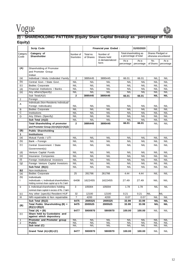

### **(I) - SHAREHOLDING PATTERN (Equity Share Capital Breakup as percentage of Total Equity)**

|                       | <b>Scrip Code</b>                                                                        |                           | <b>Financial year Ended:</b> |                          |                          | 31/03/2020               |                                           |                          |
|-----------------------|------------------------------------------------------------------------------------------|---------------------------|------------------------------|--------------------------|--------------------------|--------------------------|-------------------------------------------|--------------------------|
| Category<br>Code      | Category of<br>Shareholder                                                               | Number of<br>Shareholders | Total no.<br>of Shares       | Number of<br>Shares held | a percentage of total    | Total shareholding as    | Shares Pledged or<br>otherwise encumbered |                          |
|                       |                                                                                          |                           | in dematerialized<br>form    |                          | As a<br>percentage       | As a<br>percentage       | No.<br>of Shares                          | As a<br>percentage       |
| (A)                   | Shareholding of Promoter                                                                 |                           |                              |                          |                          |                          |                                           |                          |
|                       | and Promoter Group                                                                       |                           |                              |                          |                          |                          |                                           |                          |
|                       | Indian                                                                                   |                           |                              |                          |                          |                          |                                           |                          |
| (a)                   | Individual / Hindu Undivided Family                                                      | $\overline{2}$            | 3895445                      | 3895445                  | 66.01                    | 66.01                    | <b>NIL</b>                                | <b>NIL</b>               |
| (b)                   | Central Govt. / State Govt.                                                              | <b>NIL</b>                | <b>NIL</b>                   | <b>NIL</b>               | <b>NIL</b>               | <b>NIL</b>               | <b>NIL</b>                                | <b>NIL</b>               |
| (c)                   | <b>Bodies Corporate</b>                                                                  | <b>NIL</b>                | <b>NIL</b>                   | <b>NIL</b>               | <b>NIL</b>               | <b>NIL</b>               | <b>NIL</b>                                | <b>NIL</b>               |
| (d)                   | Financial Institutions / Banks                                                           | <b>NIL</b>                | <b>NIL</b>                   | <b>NIL</b>               | <b>NIL</b>               | <b>NIL</b>               | <b>NIL</b>                                | <b>NIL</b>               |
| (e)                   | Any others (Specify)                                                                     | NIL                       | NIL                          | <b>NIL</b>               | NIL                      | NIL                      | NIL                                       | NIL                      |
|                       | Sub Total(A)(I)                                                                          | 2                         | 3895445                      | 3895445                  | 66.01                    | 66.01                    | <b>NIL</b>                                | <b>NIL</b>               |
| $\overline{2}$        | Foreign<br>Individuals (Non-Residents Individual/                                        |                           |                              |                          |                          |                          |                                           |                          |
| Α                     | Foreign Individuals)                                                                     | NIL                       | <b>NIL</b>                   | <b>NIL</b>               | <b>NIL</b>               | <b>NIL</b>               | NIL                                       | NIL                      |
| B                     | <b>Bodies Corporate</b>                                                                  | $\overline{\text{NIL}}$   | NIL                          | $\overline{\text{NIL}}$  | NIL                      | NIL                      | NIL                                       | $\overline{\text{NIL}}$  |
| $\overline{\text{c}}$ | Institutions                                                                             | <b>NIL</b>                | <b>NIL</b>                   | <b>NIL</b>               | <b>NIL</b>               | <b>NIL</b>               | NIL                                       | <b>NIL</b>               |
| D                     | Any Others (Specify)                                                                     | <b>NIL</b>                | <b>NIL</b>                   | <b>NIL</b>               | <b>NIL</b>               | <b>NIL</b>               | <b>NIL</b>                                | <b>NIL</b>               |
|                       | Sub Total (A)(2)                                                                         | <b>NIL</b>                | <b>NIL</b>                   | <b>NIL</b>               | <b>NIL</b>               | <b>NIL</b>               | <b>NIL</b>                                | <b>NIL</b>               |
|                       | <b>Total Shareholding of promoter</b>                                                    | $\mathbf{2}$              | 3895445                      | 3895445                  | 66.01                    | 66.01                    | <b>NIL</b>                                | <b>NIL</b>               |
|                       | and Promoter Group (A)=(A)(1)+(A)(2)                                                     |                           |                              |                          |                          |                          |                                           |                          |
| (B)                   | <b>Public Shareholding</b>                                                               |                           |                              |                          |                          |                          |                                           |                          |
| 1                     | <b>Institutions</b>                                                                      |                           |                              |                          |                          |                          |                                           |                          |
| (a)                   | Mutual Funds / UTI                                                                       | <b>NIL</b>                | <b>NIL</b>                   | <b>NIL</b>               | <b>NIL</b>               | <b>NIL</b>               | NIL                                       | <b>NIL</b>               |
| (b)                   | Bank - Foreign                                                                           | <b>NIL</b>                | <b>NIL</b>                   | <b>NIL</b>               | <b>NIL</b>               | <b>NIL</b>               | <b>NIL</b>                                | <b>NIL</b>               |
| (c)                   | Central Government / State                                                               | <b>NIL</b>                | <b>NIL</b>                   | <b>NIL</b>               | <b>NIL</b>               | <b>NIL</b>               | NIL                                       | <b>NIL</b>               |
|                       | Government(s)                                                                            |                           |                              |                          |                          |                          |                                           |                          |
| (d)                   | Venture Capital Funds                                                                    | <b>NIL</b>                | <b>NIL</b>                   | <b>NIL</b>               | <b>NIL</b>               | <b>NIL</b>               | <b>NIL</b>                                | <b>NIL</b>               |
| (e)                   | Insurance Companies                                                                      | <b>NIL</b>                | <b>NIL</b>                   | <b>NIL</b>               | <b>NIL</b>               | <b>NIL</b>               | <b>NIL</b>                                | <b>NIL</b>               |
| (f)                   | Foreign Institutional Investors                                                          | <b>NIL</b>                | <b>NIL</b>                   | <b>NIL</b>               | <b>NIL</b>               | <b>NIL</b>               | <b>NIL</b>                                | <b>NIL</b>               |
| (g)                   | Foreign Venture Capital Investors                                                        | <b>NIL</b>                | <b>NIL</b>                   | <b>NIL</b>               | <b>NIL</b>               | <b>NIL</b>               | <b>NIL</b>                                | <b>NIL</b>               |
|                       | Sub-Total (B)(1)                                                                         | <b>NIL</b>                | <b>NIL</b>                   | <b>NIL</b>               | <b>NIL</b>               | <b>NIL</b>               | <b>NIL</b>                                | <b>NIL</b>               |
| <b>B2</b>             | Non-institutions                                                                         |                           |                              |                          |                          |                          |                                           |                          |
| (a)                   | <b>Bodies Corporate</b>                                                                  | 25                        | 261766                       | 261766                   | 4.44                     | 4.44                     | <b>NIL</b>                                | <b>NIL</b>               |
| (b)                   | Individuals                                                                              |                           |                              |                          |                          |                          |                                           |                          |
| $\mathbf{I}$          | Individuals -i, Individual shareholders<br>Holding nominal share capital up to Rs 2 lakh | 6408                      | 1622455                      | 1622455                  | 27.49                    | 27.49                    | <b>NIL</b>                                | <b>NIL</b>               |
| $\mathbf{II}$         | ii. Individual shareholders holding                                                      | $\overline{3}$            | 105004                       | 105004                   | 1.78                     | 1.78                     | <b>NIL</b>                                | <b>NIL</b>               |
|                       | nominal share capital in excess of Rs. 2 lakh                                            |                           |                              |                          |                          |                          |                                           |                          |
| (c)                   | Any other (specify) Resident HUF                                                         | 32                        | 12100                        | 12100                    | 0.21                     | 0.21                     | NIL                                       | NIL                      |
| Ш                     | NRI-repatriable & Non repatriable                                                        | $\overline{7}$            | 4200                         | 4200                     | 0.07                     | 0.07                     | <b>NIL</b>                                | <b>NIL</b>               |
|                       | Sub Total (B)(2)                                                                         | 6475                      | 2005525                      | 2005525                  | 33.99                    | 33.99                    | <b>NIL</b>                                | <b>NIL</b>               |
| (B)                   | Total Public Shareholding (B) =<br>$(B)(1)+(B)(2)$                                       | 6475                      | 2005525                      | 2005525                  | 33.99                    | 33.99                    | <b>NIL</b>                                | <b>NIL</b>               |
|                       | Total $(A) + (B)$                                                                        | 6477                      | 5900970                      | 5900970                  | 100.00                   | 100.00                   | NIL                                       | <b>NIL</b>               |
| (c)                   | Share held by Custodains and<br>against which depository                                 |                           |                              |                          |                          |                          |                                           |                          |
| $\mathbf{1}$          | Promoter and Promoter group                                                              | NIL                       | NIL                          | NIL                      | NIL                      | NIL                      | NIL                                       | NIL                      |
| $\overline{2}$        | <b>Public</b><br>Sub total (C)                                                           | <b>NIL</b><br>NIL         | <b>NIL</b><br><b>NIL</b>     | <b>NIL</b><br><b>NIL</b> | <b>NIL</b><br><b>NIL</b> | <b>NIL</b><br><b>NIL</b> | <b>NIL</b><br><b>NIL</b>                  | <b>NIL</b><br><b>NIL</b> |
|                       | Grand Total $(A)+(B)+(C)$                                                                | 6477                      | 5900970                      | 5900970                  | 100.00                   | 100.00                   | <b>NIL</b>                                | <b>NIL</b>               |
|                       |                                                                                          |                           |                              |                          |                          |                          |                                           |                          |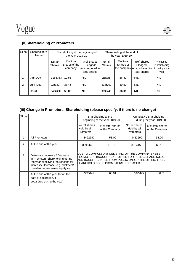

### **(ii)Shareholding of Promoters**

| SI no. | Shareholder's<br>Name | Shareholding at the beginning of<br>the year-2019-20 |                                        | Shareholding at the end of<br>the year-2019-20           |                  |                        |                                                                       |                                                        |
|--------|-----------------------|------------------------------------------------------|----------------------------------------|----------------------------------------------------------|------------------|------------------------|-----------------------------------------------------------------------|--------------------------------------------------------|
|        |                       | No. of<br><b>Shares</b>                              | %of total<br>Shares of thel<br>company | %of Shares<br>Pledged/<br>en cumbered to<br>total shares | No. of<br>Shares | %of total<br>Shares of | %of Shares<br>Pledged/<br>the companyl en cumbered to<br>total shares | % change<br>in shareholding<br>in during a the<br>year |
|        | Anil Dutt             | 1153383                                              | 19.55                                  | <b>NIL</b>                                               | 1559243          | 26.42                  | <b>NIL</b>                                                            | <b>NIL</b>                                             |
| 2      | Sunil Dutt            | 2269307                                              | 38.45                                  | <b>NIL</b>                                               | 2336202          | 39.59                  | <b>NIL</b>                                                            | <b>NIL</b>                                             |
|        | Total                 | 3422690                                              | 58.00                                  | <b>NIL</b>                                               | 3895445          | 66.01                  | <b>NIL</b>                                                            | <b>NIL</b>                                             |

### **(iii) Change in Promoters' Shareholding (please specify, if there is no change)**

| SI no. |                                                                                                                                                                                        | Shareholding at the<br>beginning of the year 2019-20                                                                                                                                                              |       |                                                  | <b>Cumulative Shareholding</b><br>during the year 2019-20 |  |  |
|--------|----------------------------------------------------------------------------------------------------------------------------------------------------------------------------------------|-------------------------------------------------------------------------------------------------------------------------------------------------------------------------------------------------------------------|-------|--------------------------------------------------|-----------------------------------------------------------|--|--|
|        |                                                                                                                                                                                        | No. of shares<br>% of total shares<br>Held by all<br>of the Company<br><b>Promoters</b>                                                                                                                           |       | No. of shares<br>Held by all<br><b>Promoters</b> | % of total shares<br>of the Company                       |  |  |
| 1.     | All Promoters                                                                                                                                                                          | 3422690                                                                                                                                                                                                           | 58.00 | 3422690                                          | 58.00                                                     |  |  |
| 2.     | At the end of the year                                                                                                                                                                 | 3895445                                                                                                                                                                                                           | 66.01 | 3895445                                          | 66.01                                                     |  |  |
| 3.     | Date wise Increase / Decrease<br>in Promoters Shareholding during<br>the year specifying the reasons for<br>increase/ Decrease (e.g. allotment/<br>transfer/ bonus/ sweat equity etc.) | DUE TO COMPULSORY DELISTING OF THE COMPANY BY BSE,<br><b>PROMOTERS BROUGHT EXIT OFFER FOR PUBLIC SHAREHOLDERS</b><br>AND BOUGHT SHARES FROM PUBLIC UNDER THE OFFER. THUS,<br>SHAREHOLDING OF PROMOTERS INCREASED. |       |                                                  |                                                           |  |  |
|        | At the end of the year (or on the<br>date of separation, if<br>separated during the year)                                                                                              | 3895445                                                                                                                                                                                                           | 66.01 | 3895445                                          | 66.01                                                     |  |  |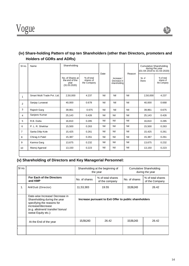### **(iv) Share-holding Pattern of top ten Shareholders (other than Directors, promoters and Holders of GDRs and ADRs)**

| SI <sub>no</sub> . | Name                        | Shareholding                                               |                                        |      |                                          |        | <b>Cumulative Shareholding</b><br>during the year $(01-04-2019$ to 31-03-2020) |                                        |  |
|--------------------|-----------------------------|------------------------------------------------------------|----------------------------------------|------|------------------------------------------|--------|--------------------------------------------------------------------------------|----------------------------------------|--|
|                    |                             | No. of Shares at<br>the end of the<br>year<br>(31.03.2020) | % of total<br>shares of<br>the Company | Date | Increase/<br>Decrease in<br>shareholding | Reason | No. of<br>Shares                                                               | % of total<br>shares of<br>the Company |  |
|                    | Smart Multi Trade Pvt. Ltd. | 2,50,000                                                   | 4.237                                  | Nil  | Nil                                      | Nil    | 2,50,000                                                                       | 4.237                                  |  |
| 2                  | Sanjay Lunawat              | 40.000                                                     | 0.678                                  | Nil  | Nil                                      | Nil    | 40.000                                                                         | 0.668                                  |  |
| 3                  | Rajesh Garg                 | 39,861                                                     | 0.675                                  | Nil  | Nil                                      | Nil    | 39,861                                                                         | 0.675                                  |  |
| 4                  | Sanjeev Kumar               | 25,143                                                     | 0.426                                  | Nil  | Nil                                      | Nil    | 25,143                                                                         | 0.426                                  |  |
| 5                  | R.B. Dutta                  | 16,810                                                     | 0.285                                  | Nil  | Nil                                      | Nil    | 16,810                                                                         | 0.285                                  |  |
| 6                  | P. L. R. Shekhar            | 15,500                                                     | 0.263                                  | Nil  | Nil                                      | Nil    | 15,500                                                                         | 0.263                                  |  |
| $\overline{7}$     | Sarita Dilip Kole           | 15,425                                                     | 0.261                                  | Nil  | Nil                                      | Nil    | 15,425                                                                         | 0.261                                  |  |
| 8                  | Chirag A Patel              | 15,387                                                     | 0.261                                  | Nil  | Nil                                      | Nil    | 15,387                                                                         | 0.261                                  |  |
| 9                  | Kamna Garg                  | 13,675                                                     | 0.232                                  | Nil  | Nil                                      | Nil    | 13,675                                                                         | 0.232                                  |  |
| 10                 | Manoj Agarwal               | 13,150                                                     | 0.223                                  | Nil  | Nil                                      | Nil    | 13,150                                                                         | 0.223                                  |  |
|                    |                             |                                                            |                                        |      |                                          |        |                                                                                |                                        |  |

### **(v) Shareholding of Directors and Key Managerial Personnel:**

| SI no.         |                                                                                                                                                                                 | Shareholding at the beginning of<br>the year           |                                                      | Cumulative Shareholding<br>during the year |                                     |  |
|----------------|---------------------------------------------------------------------------------------------------------------------------------------------------------------------------------|--------------------------------------------------------|------------------------------------------------------|--------------------------------------------|-------------------------------------|--|
|                | For Each of the Directors<br>and KMP                                                                                                                                            | No. of shares                                          | % of total shares<br>No. of shares<br>of the company |                                            | % of total shares<br>of the Company |  |
| 1 <sub>1</sub> | Anil Dutt (Director)                                                                                                                                                            | 11,53,383                                              | 19.55                                                | 15,59,243                                  | 26.42                               |  |
|                | Date-wise Increase/ Decrease in<br>Shareholding during the year<br>specifying the reasons for<br>increase//decrease<br>(e.g. allotment/ transfer/ bonus/<br>sweat Equity etc.): | Increase pursuant to Exit Offer to public shareholders |                                                      |                                            |                                     |  |
|                | At the End of the year                                                                                                                                                          | 15,59,243                                              | 26.42                                                | 15,59,243                                  | 26.42                               |  |
|                |                                                                                                                                                                                 |                                                        |                                                      |                                            |                                     |  |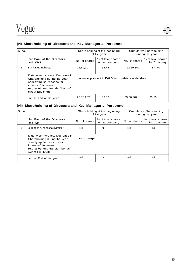### **(vi) Shareholding of Directors and Key Managerial Personnel :**

| SI no.         |                                                                                                                                                                                | Share holding at the beginning<br>of the year          |                                     | Cumulative Shareholding<br>during the year |                                     |  |  |
|----------------|--------------------------------------------------------------------------------------------------------------------------------------------------------------------------------|--------------------------------------------------------|-------------------------------------|--------------------------------------------|-------------------------------------|--|--|
|                | For Each of the Directors<br>and KMP                                                                                                                                           | No. of shares                                          | % of total shares<br>of the company | No. of shares                              | % of total shares<br>of the Company |  |  |
| $\overline{2}$ | Sunil Dutt (Director)                                                                                                                                                          | 22,69,307                                              | 38.457                              | 22,69,307                                  | 38.457                              |  |  |
|                | Date-wise Increase/ Decrease in<br>Shareholding during the year<br>specifying the reasons for<br>increase//decrease<br>(e.g. allotment/ transfer/ bonus/<br>sweat Equity etc): | Increase pursuant to Exit Offer to public shareholders |                                     |                                            |                                     |  |  |
|                | At the End of the year                                                                                                                                                         | 23,36,202                                              | 39.59                               | 23,36,202                                  | 39.59                               |  |  |

### **(vii) Shareholding of Directors and Key Managerial Personnel:**

| SI no. |                                                                                                                                                                                |                                                      | Share holding at the beginning<br>of the year | <b>Cumulative Shareholding</b><br>during the year |                                     |
|--------|--------------------------------------------------------------------------------------------------------------------------------------------------------------------------------|------------------------------------------------------|-----------------------------------------------|---------------------------------------------------|-------------------------------------|
|        | For Each of the Directors<br>and KMP                                                                                                                                           | % of total shares<br>No. of shares<br>of the company |                                               | No. of shares                                     | % of total shares<br>of the Company |
| 3      | Jogender K. Minocha (Director)                                                                                                                                                 | Nil                                                  | Nil                                           | Nil                                               | Nil                                 |
|        | Date-wise Increase/ Decrease in<br>Shareholding during the year<br>specifying the reasons for<br>increase//decrease<br>(e.g. allotment/ transfer/ bonus/<br>sweat Equity etc): | No Change                                            |                                               |                                                   |                                     |
|        | At the End of the year                                                                                                                                                         | Nil                                                  | Nil                                           | Nil                                               | Nil                                 |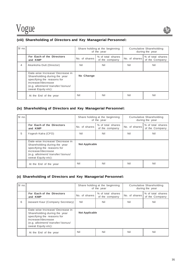



#### **(viii) Shareholding of Directors and Key Managerial Personnel:**

| SI no. |                                                                                                                                                                                | Share holding at the beginning<br>of the year |                                     | Cumulative Shareholding<br>during the year |                                     |
|--------|--------------------------------------------------------------------------------------------------------------------------------------------------------------------------------|-----------------------------------------------|-------------------------------------|--------------------------------------------|-------------------------------------|
|        | For Each of the Directors<br>and KMP                                                                                                                                           | No. of shares                                 | % of total shares<br>of the company | No. of shares                              | % of total shares<br>of the Company |
| 4      | Akanksha Dutt (Director)                                                                                                                                                       | Nil                                           | Nil                                 | Nil                                        | Nil                                 |
|        | Date-wise Increase/ Decrease in<br>Shareholding during the year<br>specifying the reasons for<br>increase//decrease<br>(e.g. allotment/ transfer/ bonus/<br>sweat Equity etc): | No Change                                     |                                     |                                            |                                     |
|        | At the End of the year                                                                                                                                                         | Nil                                           | Nil                                 | Nil                                        | Nil                                 |

### **(ix) Shareholding of Directors and Key Managerial Personnel:**

| SI no. |                                                                                                                                                                                |                       | Share holding at the beginning<br>of the year | Cumulative Shareholding<br>during the year |                                     |  |  |
|--------|--------------------------------------------------------------------------------------------------------------------------------------------------------------------------------|-----------------------|-----------------------------------------------|--------------------------------------------|-------------------------------------|--|--|
|        | For Each of the Directors<br>and KMP                                                                                                                                           | No. of shares         | % of total shares<br>of the company           | No. of shares                              | % of total shares<br>of the Company |  |  |
| 5      | Yogesh Kalra (CFO)                                                                                                                                                             | Nil                   | Nil                                           | Nil                                        | Nil                                 |  |  |
|        | Date-wise Increase/ Decrease in<br>Shareholding during the year<br>specifying the reasons for<br>increase//decrease<br>(e.g. allotment/ transfer/ bonus/<br>sweat Equity etc): | <b>Not Applicable</b> |                                               |                                            |                                     |  |  |
|        | At the End of the year                                                                                                                                                         | Nil                   | Nil                                           | Nil                                        | Nil                                 |  |  |

#### **(x) Shareholding of Directors and Key Managerial Personnel:**

| SI no. |                                                                                                                                                                                |                       | Share holding at the beginning<br>of the year | Cumulative Shareholding<br>during the year |                                     |  |  |
|--------|--------------------------------------------------------------------------------------------------------------------------------------------------------------------------------|-----------------------|-----------------------------------------------|--------------------------------------------|-------------------------------------|--|--|
|        | For Each of the Directors<br>and KMP                                                                                                                                           | No. of shares         | % of total shares<br>of the company           | No. of shares                              | % of total shares<br>of the Company |  |  |
| 6      | Jaswant Kaur (Company Secretary)                                                                                                                                               | Nil                   | Nil                                           | Nil                                        | Nil                                 |  |  |
|        | Date-wise Increase/ Decrease in<br>Shareholding during the year<br>specifying the reasons for<br>increase//decrease<br>(e.g. allotment/ transfer/ bonus/<br>sweat Equity etc): | <b>Not Applicable</b> |                                               |                                            |                                     |  |  |
|        | At the End of the year                                                                                                                                                         | Nil                   | Nil                                           | Nil                                        | Nil                                 |  |  |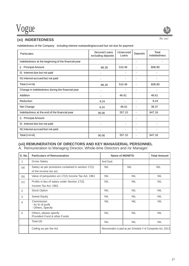

### **(xi) INDEBTEDNESS** (Rs. Lac)

Indebtedness of the Company including interest outstanding/accrued but not due for payment

| Particulars                                         | Secured Loans<br>excluding deposits | Unsecured<br>Loans | Deposits | Total<br>Indebtedness    |
|-----------------------------------------------------|-------------------------------------|--------------------|----------|--------------------------|
| Indebtedness at the beginning of the financial year |                                     |                    | ٠        |                          |
| <b>Principal Amount</b><br>i)                       | 98.30                               | 510.49             |          | 608.80                   |
| II) Interest due but not paid                       | $\blacksquare$                      |                    | ٠        |                          |
| III) Interest accrued but not paid                  | $\overline{\phantom{0}}$            |                    |          |                          |
| Total (i+ii+iii)                                    | 98.30                               | 510.49             |          | 608.80                   |
| Change in indebtedness during the financial year    |                                     |                    | ٠        | $\overline{\phantom{a}}$ |
| Addition                                            |                                     | 46.61              |          | 46.61                    |
| Reduction                                           | 8.24                                | -                  | ۰        | 8.24                     |
| Net Change                                          | 8.24                                | 46.61              | ٠        | 38.37                    |
| Indebtedness at the end of the financial year       | 90.06                               | 557.10             |          | 647.16                   |
| <b>Principal Amount</b>                             |                                     |                    | ۰        |                          |
| II) Interest due but not paid                       |                                     | $\blacksquare$     | ٠        | $\blacksquare$           |
| III) Interest accrued but not paid                  | $\overline{\phantom{0}}$            |                    |          |                          |
| Total (i+ii+iii)                                    | 90.06                               | 557.10             |          | 647.16                   |

### **(xii) REMUNERATION OF DIRECTORS AND KEY MANAGERIAL PERSONNEL**

A. Remuneration to Managing Director, Whole-time Directors and /or Manager:

| S. No. | <b>Particulars of Remuneration</b>                                            | Name of MD/WTD                                                |            | <b>Total Amount</b> |  |
|--------|-------------------------------------------------------------------------------|---------------------------------------------------------------|------------|---------------------|--|
|        | <b>Gross Salary</b>                                                           | Anil Dutt                                                     |            |                     |  |
| (a)    | Salary as per provisions contained in section 17(1)<br>of the income tax act. | <b>NIL</b>                                                    | <b>NIL</b> | <b>NIL</b>          |  |
| (b)    | Value of perquisites u/s 17(2) Income Tax Act, 1961                           | <b>NIL</b>                                                    | <b>NIL</b> | <b>NIL</b>          |  |
| (c)    | Profits in lieu of salary under Section 17(3)<br>Income Tax Act, 1961         | <b>NIL</b>                                                    | <b>NIL</b> | <b>NIL</b>          |  |
| 2      | <b>Stock Option</b>                                                           | <b>NIL</b>                                                    | <b>NIL</b> | <b>NIL</b>          |  |
| 3      | <b>Sweat Equity</b>                                                           | <b>NIL</b>                                                    | <b>NIL</b> | <b>NIL</b>          |  |
| 4      | Commission<br>- As % of profit<br>- Others, Specify                           | <b>NIL</b>                                                    | <b>NIL</b> | <b>NIL</b>          |  |
| 5      | Others, please specify<br>Provident Fund & other Funds                        | <b>NIL</b>                                                    | <b>NIL</b> | <b>NIL</b>          |  |
|        | Total (A)                                                                     | <b>NIL</b>                                                    | <b>NIL</b> | <b>NIL</b>          |  |
|        | Ceiling as per the Act                                                        | Remuneration is paid as per Schedule V of Companies Act, 2013 |            |                     |  |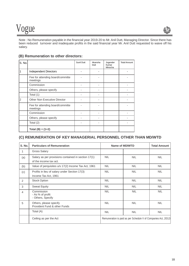

Note : No Remuneration payable in the financial year 2019-20 to Mr. Anil Dutt, Managing Director. Since there has been reduced turnover and inadequate profits in the said financial year Mr. Anil Dutt requested to waive off his salary.

#### **(B) Remuneration to other directors:**

| S. No.         |                                              | Sunil Dutt | Akansha<br>Dutt | Jogender<br>Kumar<br>Minocha | <b>Total Amount</b> |
|----------------|----------------------------------------------|------------|-----------------|------------------------------|---------------------|
| 1              | <b>Independent Directors</b>                 |            |                 |                              |                     |
|                | Fee for attending board/committe<br>meetings |            |                 |                              |                     |
|                | Commission                                   |            |                 |                              |                     |
|                | Others, please specify                       |            |                 |                              |                     |
|                | Total (1)                                    |            |                 |                              |                     |
| $\overline{2}$ | <b>Other Non Executive Director</b>          |            |                 |                              |                     |
|                | Fee for attending board/committe<br>meetings |            |                 |                              |                     |
|                | Commission                                   |            |                 |                              |                     |
|                | Others, please specify                       |            |                 |                              |                     |
|                | Total (2)                                    |            |                 |                              |                     |
|                | Total $(B) = (1+2)$                          |            |                 |                              |                     |

### **(C) REMUNERATION OF KEY MANAGERIAL PERSONNEL OTHER THAN MD/WTD**

| S. No. | <b>Particulars of Remuneration</b>                                            |                                                               | <b>Total Amount</b><br>Name of MD/WTD |            |  |
|--------|-------------------------------------------------------------------------------|---------------------------------------------------------------|---------------------------------------|------------|--|
| 1      | <b>Gross Salary</b>                                                           |                                                               |                                       |            |  |
| (a)    | Salary as per provisions contained in section 17(1)<br>of the income tax act. | <b>NIL</b>                                                    | <b>NIL</b>                            | <b>NIL</b> |  |
| (b)    | Value of perquisites u/s 17(2) Income Tax Act, 1961                           | <b>NIL</b>                                                    | <b>NIL</b>                            | <b>NIL</b> |  |
| (c)    | Profits in lieu of salary under Section 17(3)<br>Income Tax Act, 1961         | <b>NIL</b>                                                    | <b>NIL</b>                            | <b>NIL</b> |  |
| 2      | <b>Stock Option</b>                                                           | <b>NIL</b>                                                    | <b>NIL</b>                            | <b>NIL</b> |  |
| 3      | <b>Sweat Equity</b>                                                           | <b>NIL</b>                                                    | <b>NIL</b>                            | <b>NIL</b> |  |
| 4      | Commission<br>- As % of profit<br>- Others, Specify                           | <b>NIL</b>                                                    | <b>NIL</b>                            | <b>NIL</b> |  |
| 5      | Others, please specify<br>Provident Fund & other Funds                        | <b>NIL</b>                                                    | <b>NIL</b>                            | <b>NIL</b> |  |
|        | Total (A)                                                                     | <b>NIL</b>                                                    | <b>NIL</b>                            | NIL.       |  |
|        | Ceiling as per the Act                                                        | Remuneration is paid as per Schedule V of Companies Act, 2013 |                                       |            |  |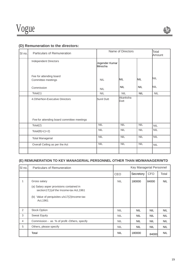

### **(D) Remuneration to the directors:**

| SI no. | Particulars of Remuneration                   |                           | Name of Directors |            |            |
|--------|-----------------------------------------------|---------------------------|-------------------|------------|------------|
|        | <b>Independent Directors</b>                  | Jogender Kumar<br>Minocha |                   |            |            |
|        | Fee for attending board<br>Committee meetings | <b>NIL</b>                | NIL               | <b>NIL</b> | NIL        |
|        | Commission                                    | <b>NIL</b>                | <b>NIL</b>        | <b>NIL</b> | <b>NIL</b> |
|        | Total(1)                                      | <b>NIL</b>                | <b>NIL</b>        | <b>NIL</b> | <b>NIL</b> |
|        | 4. Other Non-Executive Directors              | Sunil Dutt                | Akanksha<br>Dutt  |            |            |
|        | · Fee for attending board committee meetings  |                           |                   |            |            |
|        | Total(2)                                      | <b>NIL</b>                | <b>NIL</b>        | <b>NIL</b> | <b>NIL</b> |
|        | $Total(B)=(1+2)$                              | <b>NIL</b>                | <b>NIL</b>        | <b>NIL</b> | <b>NIL</b> |
|        | <b>Total Managerial</b>                       | <b>NIL</b>                | <b>NIL</b>        | <b>NIL</b> | <b>NIL</b> |
|        | Overall Ceiling as per the Act                | <b>NIL</b>                | <b>NIL</b>        | <b>NIL</b> | <b>NIL</b> |
|        |                                               |                           |                   |            |            |

### **(E) REMUNERATION TO KEY MANAGERIAL PERSONNEL OTHER THAN MD/MANAGER/WTD**

| SI no. | Particulars of Remuneration                                                                                                                                          | Key Managerial Personnel |            |            |            |
|--------|----------------------------------------------------------------------------------------------------------------------------------------------------------------------|--------------------------|------------|------------|------------|
|        |                                                                                                                                                                      | CEO                      | Secretory  | <b>CFO</b> | Total      |
|        | Gross salary<br>(a) Salary asper provisions contained in<br>section17(1) of the Income-tax Act, 1961<br>Value of perquisites u/s17(2) Income-tax<br>(b)<br>Act, 1961 | <b>NIL</b>               | 180000     | 84000      | <b>NIL</b> |
| 2      | <b>Stock Option</b>                                                                                                                                                  | <b>NIL</b>               | <b>NIL</b> | <b>NIL</b> | <b>NIL</b> |
| 3      | <b>Sweat Equity</b>                                                                                                                                                  | <b>NIL</b>               | <b>NIL</b> | <b>NIL</b> | <b>NIL</b> |
| 4      | Commission - as % of profit -Others, specify                                                                                                                         | <b>NIL</b>               | <b>NIL</b> | <b>NIL</b> | <b>NIL</b> |
| 5      | Others, please specify                                                                                                                                               | <b>NIL</b>               | <b>NIL</b> | <b>NIL</b> | <b>NIL</b> |
|        | Total                                                                                                                                                                | <b>NIL</b>               | 180000     | 84000      | <b>NIL</b> |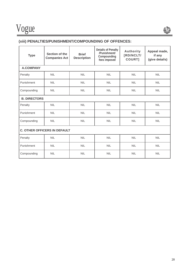

### **(xiii) PENALTIES/PUNISHMENT/COMPOUNDING OF OFFENCES:**

| <b>Type</b>         | Section of the<br><b>Companies Act</b> | <b>Brief</b><br><b>Description</b> | <b>Details of Penalty</b><br>/Punishment/<br>Compounding<br>fees imposed | Authority<br>[RD/NCLT/<br>COURT] | Appeal made,<br>if any<br>(give details) |
|---------------------|----------------------------------------|------------------------------------|--------------------------------------------------------------------------|----------------------------------|------------------------------------------|
| <b>A.COMPANY</b>    |                                        |                                    |                                                                          |                                  |                                          |
| Penalty             | <b>NIL</b>                             | <b>NIL</b>                         | <b>NIL</b>                                                               | <b>NIL</b>                       | <b>NIL</b>                               |
| Punishment          | <b>NIL</b>                             | <b>NIL</b>                         | <b>NIL</b>                                                               | <b>NIL</b>                       | <b>NIL</b>                               |
| Compounding         | <b>NIL</b>                             | <b>NIL</b>                         | <b>NIL</b>                                                               | <b>NIL</b>                       | <b>NIL</b>                               |
| <b>B. DIRECTORS</b> |                                        |                                    |                                                                          |                                  |                                          |
| Penalty             | <b>NIL</b>                             | <b>NIL</b>                         | <b>NIL</b>                                                               | <b>NIL</b>                       | <b>NIL</b>                               |
| Punishment          | <b>NIL</b>                             | <b>NIL</b>                         | <b>NIL</b>                                                               | <b>NIL</b>                       | <b>NIL</b>                               |
| Compounding         | <b>NIL</b>                             | <b>NIL</b>                         | <b>NIL</b>                                                               | <b>NIL</b>                       | <b>NIL</b>                               |
|                     | <b>C. OTHER OFFICERS IN DEFAULT</b>    |                                    |                                                                          |                                  |                                          |
| Penalty             | <b>NIL</b>                             | <b>NIL</b>                         | <b>NIL</b>                                                               | <b>NIL</b>                       | <b>NIL</b>                               |
| Punishment          | <b>NIL</b>                             | <b>NIL</b>                         | <b>NIL</b>                                                               | <b>NIL</b>                       | <b>NIL</b>                               |
| Compounding         | <b>NIL</b>                             | <b>NIL</b>                         | <b>NIL</b>                                                               | <b>NIL</b>                       | <b>NIL</b>                               |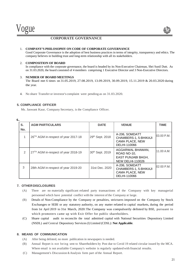#### **CORPORATE GOVERNANCE**

#### 1. **COMPANY'S PHILOSOPHY ON CODE OF CORPORATE GOVERNANCE**

Good Corporate Governance is the adoption of best business practices in terms of integrity, transparency and ethics. The company believes in building trust and long-term relationship with all its stakeholders.

#### 2. **COMPOSITION OF BOARD**

In compliance with the corporate governance, the board is headed by its Non-Executive Chairman, Shri Sunil Dutt. As on 31.03.2020, the board consisted of 4 members comprising 1 Executive Director and 3 Non-Executive Directors.

#### 3. **NUMBER OF BOARD MEETINGS**

The Board met 6 times on 31.05.2019, 27.08.2019, 13.09.2019, 30.09.2019, 15.11.2019 & 20.03.2020 during the year.

4. No share Transfer or investor's complaint were pending as on 31.03.2020.

#### **5. COMPLIANCE OFFICER**

Ms. Jaswant Kaur, Company Secretary, is the Compliance Officer.

| 6 |     |                                                 |                             |                                                                                         |             |
|---|-----|-------------------------------------------------|-----------------------------|-----------------------------------------------------------------------------------------|-------------|
|   | S.  | <b>AGM PARTICULARS</b>                          | <b>DATE</b>                 | <b>VENUE</b>                                                                            | <b>TIME</b> |
|   | No. |                                                 |                             |                                                                                         |             |
|   |     | 26 <sup>TH</sup> AGM in-respect of year 2017-18 | 29 <sup>th</sup> Sept. 2018 | A-206, SOMDATT<br>CHAMBERS-1, 5-BHIKAJI<br>CAMA PLACE, NEW<br>DELHI-110066              | 03.00 P.M.  |
|   | 2   | 27 <sup>TH</sup> AGM in-respect of year 2018-19 | 30th Sept. 2019             | AGGARWAL BHAWAN.<br>ROAD NO-10,<br><b>EAST PUNJABI BAGH,</b><br><b>NEW DELHI-110026</b> | 11.00 A.M.  |
|   | 3   | 28th AGM in-respect of year 2019-20             | 31st Dec. 2020              | A-206, SOMDATT<br>CHAMBERS-1, 5-BHIKAJI<br>CAMA PLACE, NEW<br>DELHI-110066              | 02:00 P.M.  |

#### **7. OTHERDISCLOSURES**

- (A) There are no materially significant related party transactions of the Company with key managerial personnel which have potential conflict with the interest of the Company at large.
- (B) Details of Non-Compliance by the Company or penalties, strictures imposed on the Company by Stock Exchanges or SEBI or any statutory authority, on any matter related to capital markets, during the period from 1st April 2019 to 31st March, 2020: The Company was compulsorily delisted by BSE, pursuant to which promoters came up with Exit Offer for public shareholders.
- (C) Share capital audit to reconcile the total admitted capital with National Securities Depository Limited (NSDL) and Central Depository Services(I) Limited (CDSL): **Not Applicable**.

#### **8. MEANS OF COMMUNICATION**

- (A) After being delisted, no more publication in newspapers is needed.
- (B) Annual Report is not being sent to Shareholders by Post due to Covid 19 related circular issued by the MCA. Where email is not available Company's website is regularly updated with financial results.
- (C) Management's Discussion & Analysis form part ofthe Annual Report.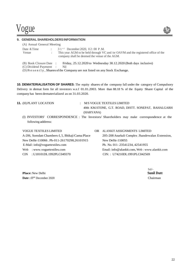Vogue



#### **9. GENERALSHAREHOLDERSINFORMATION**

(A) Annual General Meeting

| Date & Time<br>Venue    | $31st$ December 2020, 02:00 P.M.<br>This year AGM to be held through VC and /or OAVM and the registered office of the<br>company shall be deemed the venue of the AGM. |
|-------------------------|------------------------------------------------------------------------------------------------------------------------------------------------------------------------|
| (B) Book Closure Date : | Friday, $25.12.2020$ to Wednesday $30.12.2020$ (Both days inclusive)                                                                                                   |

(C) Dividend Payment : Nil

(D) Pr e s e n t l y , Shares ofthe Company are not listed on any Stock Exchange.

**10. DEMATERIALISATION OF SHARES**: The equity shares of the company fall under the category of Compulsory Delivery in demat form for all investors w.e.f 01.01.2003. More than 88.18 % of the Equity Share Capital of the company has been dematerialized as on 31.03.2020.

| <b>11.</b> (H) PLANT LOCATION | M/S VOGUE TEXTILES LIMITED                                                                 |
|-------------------------------|--------------------------------------------------------------------------------------------|
|                               | 40th KM.STONE, G.T. ROAD, DISTT. SONEPAT, BAHALGARH                                        |
|                               | (HARYANA)                                                                                  |
|                               | (I) INVESTORS' CORRESPONDENCE : The Investors/ Shareholders may make correspondence at the |
| following address:            |                                                                                            |
|                               |                                                                                            |

| <b>VOGUE TEXTILES LIMITED</b>                    |  | OR ALANKIT ASSIGNMENTS LIMITED                  |
|--------------------------------------------------|--|-------------------------------------------------|
| A-206, Somdatt Chambers-I, 5, Bhikaji Cama Place |  | 205-208 Anarkali Complex Jhandewalan Extension, |
| New Delhi-110066. Ph-011-26170298,26101915       |  | New Delhi- $110055$                             |
| E-Mail: info@voguetextiles.com                   |  | Ph. No. 011-23541234, 42541955                  |
| Web : www.voguetextiles.com                      |  | Email: info@alankit.com, Web: www.alankit.com   |
| $CIN$ : U18101DL1992PLC049370                    |  | CIN: U74210DL1991PLC042569                      |
|                                                  |  |                                                 |

**Place:** New Delhi **Sunil Dutt Date** :  $07<sup>th</sup>$  December 2020

Sd/-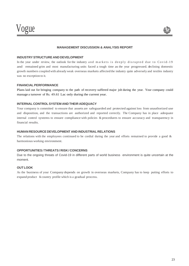

#### **MANAGEMENT DISCUSSION & ANALYSIS REPORT**

#### **INDUSTRYSTRUCTURE AND DEVELOPMENT**

In the year under review, the outlook for the industry and markets is deeply disrupted due to Covid-19 and remained grim and most manufacturing units faced a tough time as the year progressed. declining domestic growth numbers coupled with already weak overseas markets affected the industry quite adversely and textiles industry was no exception to it.

#### **FINANCIAL PERFORMANCE**

Plans laid out for bringing company to the path of recovery suffered major jolt during the year. Your company could manage a turnover of Rs. 49.61 Lac only during the current year.

#### **INTERNAL CONTROLSYSTEM AND THEIR ADEQUACY**

Your company is committed to ensure that assets are safeguarded and protected against loss from unauthorized use and disposition, and the transactions are authorized and reported correctly. The Company has in place adequate internal control systems to ensure compliance with policies & procedures to ensure accuracy and transparency in financial results.

#### **HUMAN RESOURCE DEVELOPMENT AND INDUSTRIAL RELATIONS**

The relations with the employees continued to be cordial during the year and efforts remained to provide a good  $\&$ harmonious working environment.

#### **OPPORTUNITIES/THREATS/ RISK/ CONCERNS**

Due to the ongoing threats of Covid-19 in different parts of world business environment is quite uncertain at the moment.

#### **OUTLOOK**

As the business of your Company depends on growth in overseas markets, Company has to keep putting efforts to expand product & country profile which is a gradual process.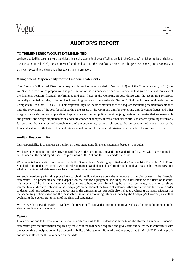Vogue



### **AUDITOR'S REPORT**

#### **TO THEMEMBERSOFVOGUETEXTILESLIMITED**

We have audited the accompanying standalone financial statements of Vogue Textiles Limited ('the Company'), which comprise the balance sheet as at 31 March 2020, the statement of profit and loss and the cash flow statement for the year then ended, and a summary of significant accounting policies and other explanatory information.

#### **Management Responsibility for the Financial Statements**

The Company's Board of Directors is responsible for the matters stated in Section 134(5) of the Companies Act, 2013 ("the Act") with respect to the preparation and presentation of these standalone financial statements that give a true and fair view of the financial position, financial performance and cash flows of the Company in accordance with the accounting principles generally accepted in India, including the Accounting Standards specified under Section 133 of the Act, read with Rule 7 of the Companies (Accounts) Rules, 2014. This responsibility also includes maintenance of adequate accounting records in accordance with the provisions of the Act for safeguarding the assets of the Company and for preventing and detecting frauds and other irregularities; selection and application of appropriate accounting policies; making judgments and estimates that are reasonable and prudent; and design, implementation and maintenance of adequate internal financial controls, that were operating effectively for ensuring the accuracy and completeness of the accounting records, relevant to the preparation and presentation of the financial statements that give a true and fair view and are free from material misstatement, whether due to fraud or error.

#### **Auditor Responsibility**

Our responsibility is to express an opinion on these standalone financial statements based on our audit.

We have taken into account the provisions of the Act, the accounting and auditing standards and matters which are required to be included in the audit report under the provisions of the Act and the Rules made there under.

We conducted our audit in accordance with the Standards on Auditing specified under Section 143(10) of the Act. Those Standards require that we comply with ethical requirements and plan and perform the audit to obtain reasonable assurance about whether the financial statements are free from material misstatement.

An audit involves performing procedures to obtain audit evidence about the amounts and the disclosures in the financial statements. The procedures selected depend on the auditor's judgment, including the assessment of the risks of material misstatement of the financial statements, whether due to fraud or error. In making those risk assessments, the auditor considers internal financial control relevant to the Company's preparation of the financial statements that give a true and fair view in order to design audit procedures that are appropriate in the circumstances. An audit also includes evaluating the appropriateness of the accounting policies used and the reasonableness of the accounting estimates made by the Company's Directors, as well as evaluating the overall presentation of the financial statements.

We believe that the audit evidence we have obtained is sufficient and appropriate to provide a basis for our audit opinion on the standalone financial statements.

#### **Opinion**

In our opinion and to the best of our information and according to the explanations given to us, the aforesaid standalone financial statements give the information required by the Act in the manner so required and give a true and fair view in conformity with the accounting principles generally accepted in India, of the state of affairs of the Company as at 31 March 2020 and its profit and its cash flows for the year ended on that date.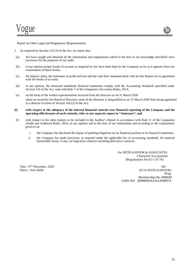Report on Other Legal and Regulatory Requirements.

- 1. As required by Section 143 (3) of the Act, we report that:
- (a) We have sought and obtained all the information and explanations which to the best of our knowledge and belief were necessary for the purposes of our audit.
- (b) in our opinion proper books of account as required by law have been kept by the Company so far as it appears from our examination of those books;
- (c) the balance sheet, the statement of profit and loss and the cash flow statement dealt with by this Report are in agreement with the books of account;
- (d) in our opinion, the aforesaid standalone financial statements comply with the Accounting Standards specified under Section 133 of the Act, read with Rule 7 of the Companies (Accounts) Rules, 2014;
- (e) on the basis of the written representations received from the directors as on 31 March 2020 taken on record by the Board of Directors, none of the directors is disqualified as on 31 March 2020 from being appointed as a director in terms of Section 164 (2) of the Act;
- **(f) with respect to the adequacy of the internal financial controls over financial reporting of the Company and the operating effectiveness of such controls, refer to our separate report in "Annexure"; and**
- (f) with respect to the other matters to be included in the Auditor's Report in accordance with Rule 11 of the Companies (Audit and Auditors) Rules, 2014, in our opinion and to the best of our information and according to the explanations given to us:
	- i. the Company has disclosed the impact of pending litigations on its financial position in its financial statements.
	- ii. the Company has made provision, as required under the applicable law or accounting standards, for material foreseeable losses, if any, on long-term contracts including derivative contracts .

 For NITIN KAPOOR & ASSOCIATES Chartered Accountants (Registration No.021107N)

Date : 07<sup>th</sup> December, 2020 Sd/-<br>Place : New Delhi (FCA NITIN KAPOO (FCA NITIN KAPOOR) Prop. Membership.No.:098699 UDIN NO: 20098699AAAAAM9974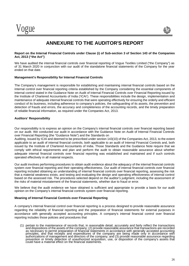'ogue



### **ANNEXURE TO THE AUDITOR'S REPORT**

#### **Report on the Internal Financial Controls under Clause (i) of Sub-section 3 of Section 143 of the Companies Act, 2013 ("the Act")**

We have audited the internal financial controls over financial reporting of Vogue Textiles Limited ("the Company") as of 31 March 2020 in conjunction with our audit of the standalone financial statements of the Company for the year ended on that date.

#### **Management's Responsibility for Internal Financial Controls**

The Company's management is responsible for establishing and maintaining internal financial controls based on the internal control over financial reporting criteria established by the Company considering the essential components of internal control stated in the Guidance Note on Audit of Internal Financial Controls over Financial Reporting issued by the Institute of Chartered Accountants of India ('ICAI'). These responsibilities include the design, implementation and maintenance of adequate internal financial controls that were operating effectively for ensuring the orderly and efficient conduct of its business, including adherence to company's policies, the safeguarding of its assets, the prevention and detection of frauds and errors, the accuracy and completeness of the accounting records, and the timely preparation of reliable financial information, as required under the Companies Act, 2013.

#### **Auditors' Responsibility**

Our responsibility is to express an opinion on the Company's internal financial controls over financial reporting based on our audit. We conducted our audit in accordance with the Guidance Note on Audit of Internal Financial Controls over Financial Reporting (the "Guidance Note") and the Standards on

Auditing, issued by ICAI and deemed to be prescribed under section 143(10) of the Companies Act, 2013, to the extent applicable to an audit of internal financial controls, both applicable to an audit of Internal Financial Controls and, both issued by the Institute of Chartered Accountants of India. Those Standards and the Guidance Note require that we comply with ethical requirements and plan and perform the audit to obtain reasonable assurance about whether adequate internal financial controls over financial reporting was established and maintained and if such controls operated effectively in all material respects.

Our audit involves performing procedures to obtain audit evidence about the adequacy of the internal financial controls system over financial reporting and their operating effectiveness. Our audit of internal financial controls over financial reporting included obtaining an understanding of internal financial controls over financial reporting, assessing the risk that a material weakness exists, and testing and evaluating the design and operating effectiveness of internal control based on the assessed risk. The procedures selected depend on the auditor's judgment, including the assessment of the risks of material misstatement of the financial statements, whether due to fraud or error.

We believe that the audit evidence we have obtained is sufficient and appropriate to provide a basis for our audit opinion on the Company's internal financial controls system over financial reporting.

#### **Meaning of Internal Financial Controls over Financial Reporting**

A company's internal financial control over financial reporting is a process designed to provide reasonable assurance regarding the reliability of financial reporting and the preparation of financial statements for external purposes in accordance with generally accepted accounting principles. A company's internal financial control over financial reporting includes those policies and procedures that

(1) pertain to the maintenance of records that, in reasonable detail, accurately and fairly reflect the transactions and dispositions of the assets of the company; (2) provide reasonable assurance that transactions are recorded as necessary to permit preparation of financial statements in accordance with generally accepted accounting principles, and that receipts and expenditures of the company are being made only in accordance with authorizations of management and directors of the company; and (3) provide reasonable assurance regarding prevention or timely detection of unauthorized acquisition, use, or disposition of the company's assets that could have a material effect on the financial statements.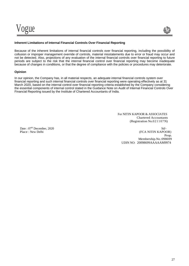Vogue



#### **Inherent Limitations of Internal Financial Controls Over Financial Reporting**

Because of the inherent limitations of internal financial controls over financial reporting, including the possibility of collusion or improper management override of controls, material misstatements due to error or fraud may occur and not be detected. Also, projections of any evaluation of the internal financial controls over financial reporting to future periods are subject to the risk that the internal financial control over financial reporting may become inadequate because of changes in conditions, or that the degree of compliance with the policies or procedures may deteriorate.

#### **Opinion**

In our opinion, the Company has, in all material respects, an adequate internal financial controls system over financial reporting and such internal financial controls over financial reporting were operating effectively as at 31 March 2020, based on the internal control over financial reporting criteria established by the Company considering the essential components of internal control stated in the Guidance Note on Audit of Internal Financial Controls Over Financial Reporting issued by the Institute of Chartered Accountants of India.

> For NITIN KAPOOR & ASSOCIATES Chartered Accountants (Registration No.021107N)

Date : 07<sup>th</sup> December, 2020<br>Place : New Delhi (FCA NITIN KAPOO (FCA NITIN KAPOOR) Prop. Membership.No.:098699 UDIN NO: 20098699AAAAAM9974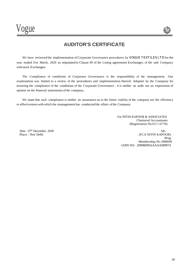Vogue



### **AUDITOR'S CERTIFICATE**

We have reviewed the implementation of Corporate Governance procedures by VOGUE TEXTILES LTD for the year ended 31st March, 2020 as stipulated in Clause 49 of the Listing agreement Exchanges. of the said Company with stock Exchanges

The Compliance of conditions of Corporate Governance is the responsibility of the management. Our examination was limited to a review of the procedures and implementation thereof. Adopted by the Company for ensuring the compliance of the conditions of the Corporate Governance , it is neither an audit nor an expression of opinion on the financial statements of the company..

We state that such compliance is neither an assurance as to the future viability of the company nor the efficiency or effectiveness with which the management has conducted the affairs ofthe Company

> For NITIN KAPOOR & ASSOCIATES Chartered Accountants (Registration No.021107N)

Date : 07<sup>th</sup> December, 2020<br>Place : New Delhi (FCA NITIN KAPOO (FCA NITIN KAPOOR) Prop. Membership.No.:098699 UDIN NO: 20098699AAAAAM9974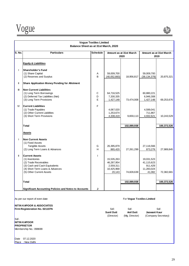

|                | Balance Sheet as at 31st March, 2020                                                                                                  | <b>Vogue Textiles Limited</b> |                                                     |                                 |                                                   |                                 |  |
|----------------|---------------------------------------------------------------------------------------------------------------------------------------|-------------------------------|-----------------------------------------------------|---------------------------------|---------------------------------------------------|---------------------------------|--|
| S. No.         | <b>Particulars</b>                                                                                                                    | <b>Schedule</b>               |                                                     | Amount as at 31st March<br>2020 |                                                   | Amount as at 31st March<br>2019 |  |
|                | <b>Equity &amp; Liabilities</b>                                                                                                       |                               |                                                     |                                 |                                                   |                                 |  |
| $\mathbf{I}$   | <b>Shareholder's Fund</b><br>(1) Share Capital<br>(2) Reserves and Surplus                                                            | Α<br><sub>B</sub>             | 59,009,700<br>(40,052,883)                          | 18,956,817                      | 59,009,700<br>(38, 134, 379)                      | 20,875,321                      |  |
| Ш              | <b>Share Application Money Pending for Allotment</b>                                                                                  |                               |                                                     |                                 |                                                   |                                 |  |
| $\mathbf{III}$ | <b>Non Current Liabilities</b><br>(1) Long Term Borrowings<br>(2) Deferred Tax Liabilities (Net)<br>(3) Long Term Provisions          | С<br>D<br>E                   | 64,716,525<br>7,330,335<br>1,427,148                | 73,474,008                      | 60,880,221<br>6,946,308<br>1,427,148              | 69,253,676                      |  |
| IV.            | <b>Current Liabilities</b><br>(1) Trade Payables<br>(2) Other Current Liabilities<br>(3) Short Term Provisions                        | F                             | 4,067,020<br>1,253,674<br>4,338,419                 | 9,659,113                       | 4,599,041<br>711,867<br>4,932,621                 | 10,243,529                      |  |
|                | <b>Total</b>                                                                                                                          |                               |                                                     | 102,089,938                     |                                                   | 100,372,526                     |  |
|                | Assets                                                                                                                                |                               |                                                     |                                 |                                                   |                                 |  |
| $\overline{1}$ | <b>Non Current Assets</b><br>(1) Fixed Assets<br><b>Tangible Assets</b><br>(2) Long Term Loans & Advances                             | G<br>H                        | 26,395,879<br>865,420                               | 27,261,299                      | 27,116,566<br>873,279                             | 27,989,845                      |  |
| $\mathbf{I}$   | <b>Current Assets</b><br>(1) Inventories<br>(2) Trade Receivables<br>(3) Cash and Cash Equivalents<br>(4) Short Term Loans & Advances | T                             | 15,535,263<br>46,287,954<br>2,559,311<br>10,425,968 |                                 | 19,031,523<br>41,115,623<br>911,429<br>11,283,024 |                                 |  |
|                | (5) Other Current Assets                                                                                                              |                               | 20,143                                              | 74,828,639                      | 41,082                                            | 72,382,681                      |  |
|                | Total                                                                                                                                 |                               |                                                     | 102,089,938                     |                                                   | 100,372,526                     |  |
|                | <b>Significant Accounting Policies and Notes to Accounts</b>                                                                          | J                             |                                                     |                                 |                                                   |                                 |  |
|                |                                                                                                                                       |                               |                                                     |                                 |                                                   |                                 |  |

As per our report of even date

### **NITIN KAPOOR & ASSOCIATES** Firm Registeration No. 021107N<br>Sd/- Sd/- Sd/- Sd/- Sd/- Sd/- Sunil Dutt Anil Dutt Jaswant Kau

Sd/- **NITIN KAPOOR PROPRIETOR** Membership No.: 098699

Date 07.12.2020 Place : New Delhi

#### For **Vogue Textiles Limited**

(Director) (Mg. Director) (Company Secretary)

**Jaswant Kaur**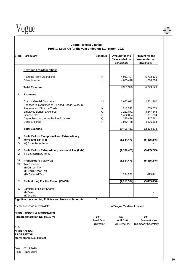| Vogue |
|-------|
|-------|

#### **Vogue Textiles Limited Profit & Loss A/c for the year ended on 31st March, 2020**

|                      | <b>S. No. Particulars</b>                                                                           | <b>Schedule</b> | Amount for the<br>Year ended on<br>31/03/2020 | Amount for the<br>Year ended on<br>31/03/2019 |
|----------------------|-----------------------------------------------------------------------------------------------------|-----------------|-----------------------------------------------|-----------------------------------------------|
| $\mathsf{I}$         | <b>Revenue From Operations</b>                                                                      |                 |                                               |                                               |
|                      | Revenue From Operations<br>Other Income                                                             | Κ<br>L          | 4,961,497<br>4,000,478                        | 5,732,625<br>1,016,504                        |
|                      | <b>Total Revenue</b>                                                                                |                 | 8,961,975                                     | 6,749,129                                     |
| II                   | <b>Expenses</b>                                                                                     |                 |                                               |                                               |
|                      | Cost of Material Consumed<br>Changes in Inventories of Finished Goods, Work in                      | м               | 2,683,012                                     | 2,201,960                                     |
|                      | Progress and Stock In Trade                                                                         | N               | 813,248                                       | 209,253                                       |
|                      | <b>Employee Benefit Expenses</b>                                                                    | O               | 3,231,871                                     | 3,347,843                                     |
|                      | <b>Finance Cost</b>                                                                                 | P               | 1,432,084                                     | 1,381,354                                     |
|                      | Depreciation and Amortisation Expense                                                               | Q               | 375,498                                       | 417,661                                       |
|                      | Other Expense                                                                                       | R.              | 1,960,738                                     | 4,676,303                                     |
|                      | <b>Total Expense</b>                                                                                |                 | 10,496,451                                    | 12,234,374                                    |
| $\mathbf{III}$<br>IV | <b>Profit Before Exceptional and Extraordinary</b><br>Items and Tax (I-II)<br>(-) Exceptional Items |                 | (1,534,476)                                   | (5,485,245)                                   |
| V<br>VI              | Profit Before Extraordinary Items and Tax (III-IV)<br>(-) Extraordinary Items                       |                 | (1,534,476)                                   | (5,485,245)                                   |
| VII                  | Profit Before Tax (V-VI)                                                                            |                 | (1,534,476)                                   | (5,485,245)                                   |
| VIII                 | <b>Tax Expense</b>                                                                                  |                 |                                               |                                               |
|                      | (I) Current Tax                                                                                     |                 |                                               |                                               |
|                      | (II) Earlier Year Tax                                                                               |                 |                                               |                                               |
|                      | (III) Deferred Tax                                                                                  |                 | 384,028                                       | 413,841                                       |
| IX                   | Profit (Loss) For the Period (VII-VIII)                                                             |                 | (1,918,504)                                   | (5,899,086)                                   |
| X                    | <b>Earning Per Equity Shares</b>                                                                    |                 |                                               |                                               |
|                      | (I) Basic<br>(II) Diluted                                                                           |                 |                                               |                                               |
|                      | <b>Significant Accounting Policies and Notes to Accounts</b>                                        | J               |                                               |                                               |

As per our report of even date

#### For **Vogue Textiles Limited**

**Sunil Dutt Anil Dutt Anil Anil Butt Jaswant Kaur**<br>(Director) (Mg. Director) (Company Secretary

(Company Secretary)

#### **NITIN KAPOOR & ASSOCIATES Firm Registeration No. 021107N** Sd/- Sd/- Sd/- Sd/- Sd/- Sd/-

| Sd/-    |  |
|---------|--|
| NITIN F |  |

**NITIN KAPOOR PROPRIETOR Membership No.: 098699**

Date 07.12.2020 Place : New Delhi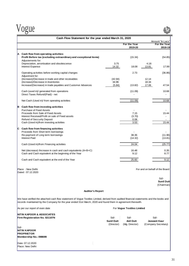|                                                                                        |         |                         |                                | Amount "In Lacs"        |
|----------------------------------------------------------------------------------------|---------|-------------------------|--------------------------------|-------------------------|
|                                                                                        |         | For the Year<br>2019-20 |                                | For the Year<br>2018-19 |
| A Cash flow from operating activities                                                  |         |                         |                                |                         |
| Profit Before tax (excluding extraordinary and exceptional items)<br>Adjustements for: |         | (15.34)                 |                                | (54.85)                 |
| Depreciation, amortisation and obsolescense                                            | 3.75    |                         | 4.18                           |                         |
| <b>Interest Expense</b>                                                                | 14.32   | 18.08                   | 13.81                          | 17.99                   |
| Operating activities before working capital changes<br>Adjustment for:                 |         | 2.73                    |                                | (36.86)                 |
| (Increase)/Decrease in trade and other receivables                                     | (42.94) |                         | 12.14                          |                         |
| (Increase)/Decrease in Inventories                                                     | 34.96   |                         | 18.34                          |                         |
| Increase/(Decrease) in trade payables and Customer Advances                            | (5.84)  | (13.82)                 | 17.06                          | 47.54                   |
| Cash (used in)/ generated from operations                                              |         | (11.09)                 |                                | 10.68                   |
| Direct Taxes Refund/(Paid) - net                                                       |         |                         |                                |                         |
| Net Cash (Used in)/ from operating activities                                          |         | (11.09)                 |                                | 10.68                   |
| Cash flow from investing activities                                                    |         |                         |                                |                         |
| <b>Purchase of Fixed Assets</b>                                                        |         |                         |                                |                         |
| Proceeds from Sale of Fixed Assets                                                     |         | 7.15                    |                                | 15.44                   |
| Interest Received/Profit on sale of Fixed assets                                       |         | (3.70)                  |                                |                         |
| Refund of Seccurity Deposit                                                            |         | 0.08                    |                                |                         |
| Cash (Used in)/from investing activities                                               |         | 3.53                    |                                | 15.44                   |
| Cash flow from financing activities                                                    |         |                         |                                |                         |
| Proceeds from Short term borrowings                                                    |         |                         |                                |                         |
| Re-payment of Long term borrowings                                                     |         | 38.36                   |                                | (11.96)                 |
| <b>Interest Paid</b>                                                                   |         | (14.32)                 |                                | (13.81)                 |
| Cash (Used in)/from Financing activities                                               |         | 24.04                   |                                | (25.77)                 |
| Net (decrease) /Increase in cash and cash equivalents (A+B+C)                          |         | 16.48                   |                                | 0.35                    |
| Cash and Cash equivalent at the beginning of the Year                                  |         | 9.12                    |                                | 8.77                    |
| Cash and Cash equivalent at the end of the Year                                        |         | 25.60                   |                                | 9.12                    |
| Place: New Delhi                                                                       |         |                         | For and on behalf of the Board |                         |

Dated : 07.12.2020

Sd/- **Sunil Dutt** (Chairman)

 $\mathbf{\Psi}$ 

#### **Auditor's Report**

We have verified the attached cash flow statement of Vogue Textiles Limited, derived from audited financial statements and the books and records maintained by the Company for the year ended 31st March, 2020 and found them in agreement therewith.

#### As per our report of even date

#### For **Vogue Textiles Limited**

| <b>NITIN KAPOOR &amp; ASSOCIATES</b>                                               |                                         |                                            |                                                  |
|------------------------------------------------------------------------------------|-----------------------------------------|--------------------------------------------|--------------------------------------------------|
| Firm Registeration No. 021107N                                                     | Sd/-<br><b>Sunil Dutt</b><br>(Director) | Sd/-<br><b>Anil Dutt</b><br>(Mg. Director) | Sd<br><b>Jaswant Kaur</b><br>(Company Secretary) |
| <b>Sd</b> /-<br><b>NITIN KAPOOR</b><br><b>PROPRIETOR</b><br>Membership No.: 098699 |                                         |                                            |                                                  |
| Date: 07.12.2020<br>Place: New Delhi                                               |                                         |                                            |                                                  |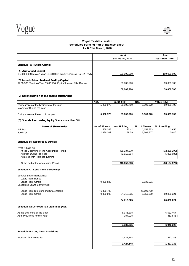

| <b>Schedules Forming Part of Balance Sheet</b>                                                                                                                            | <b>Vogue Textiles Limited</b><br>As At 31st March, 2020 |                               |                         |                               |
|---------------------------------------------------------------------------------------------------------------------------------------------------------------------------|---------------------------------------------------------|-------------------------------|-------------------------|-------------------------------|
|                                                                                                                                                                           |                                                         | As at<br>31st March, 2020     |                         | As at<br>31st March, 2019     |
| Schedule- A : Share Capital                                                                                                                                               |                                                         |                               |                         |                               |
| [A] Authorised Capital<br>10,000,000 (Previous Year 10,000,000) Equity Shares of Rs 10/- each                                                                             |                                                         | 100,000,000                   |                         | 100,000,000                   |
| [B] Issued, Subscribed and Paid Up Capital<br>59,00,970 (Previous Year 59,00,970) Equity Shares of Rs 10/- each                                                           |                                                         | 59,009,700                    |                         | 59,009,700                    |
|                                                                                                                                                                           |                                                         | 59,009,700                    |                         | 59,009,700                    |
| [C] Reconcialiation of the shares outstanding                                                                                                                             |                                                         |                               |                         |                               |
|                                                                                                                                                                           | Nos.                                                    | Value (Rs.)                   | Nos.                    | Value (Rs.)                   |
| Equity shares at the beginning of the year<br>Movement During the Year                                                                                                    | 5,900,970                                               | 59,009,700                    | 5,900,970               | 59,009,700                    |
| Equity shares at the end of the year                                                                                                                                      | 5,900,970                                               | 59,009,700                    | 5,900,970               | 59,009,700                    |
| [D] Shareholder holding Equity Share more than 5%                                                                                                                         |                                                         |                               |                         |                               |
| Name of Shareholder                                                                                                                                                       | No. of Shares                                           | % of Holding                  | No. of Shares           | % of Holding                  |
| Anil Dutt<br>Sunil Dutt                                                                                                                                                   | 1,559,243<br>2,336,202                                  | 26.42<br>39.59                | 1,153,383<br>2,269,307  | 19.55<br>38.46                |
| <b>Schedule B: Reserves &amp; Surplus</b><br>Profit & Loss A/c<br>At the Beginning of the Accounting Period<br>Addition During the Year<br>Adjusted with Retained Earning |                                                         | (38, 134, 379)<br>(1,918,504) |                         | (32, 235, 293)<br>(5,899,086) |
| At the end of the Accounting Period                                                                                                                                       |                                                         | (40, 052, 883)                |                         | (38, 134, 379)                |
| <b>Schedule C: Long Term Borrowings</b>                                                                                                                                   |                                                         |                               |                         |                               |
| Secured Loans Borrowings:<br>Loans From Banks<br>Loans From Others<br><b>Unsecured Loans Borrowings:</b>                                                                  | 9,005,825                                               |                               | 9,830,521               |                               |
| Loans From Directors and Shareholders<br>Loans From Others                                                                                                                | 46,360,700<br>9,350,000                                 | 64,716,525                    | 41,699,700<br>9,350,000 | 60,880,221                    |
|                                                                                                                                                                           |                                                         | 64,716,525                    |                         | 60,880,221                    |
| Schedule D: Deferred Tax Liabilities (NET)                                                                                                                                |                                                         |                               |                         |                               |
| At the Beginning of the Year<br>Add: Provisions for the Year                                                                                                              |                                                         | 6,946,308<br>384,028          |                         | 6,532,467<br>413,841          |
|                                                                                                                                                                           |                                                         | 7,330,335                     |                         | 6,946,308                     |
| <b>Schedule E: Long Term Provisions</b>                                                                                                                                   |                                                         |                               |                         |                               |
| Provision for Income Tax                                                                                                                                                  |                                                         | 1,427,148                     |                         | 1,427,148                     |
|                                                                                                                                                                           |                                                         | 1,427,148                     |                         | 1,427,148                     |
|                                                                                                                                                                           |                                                         |                               |                         |                               |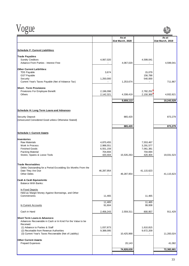

|                                                                           |                          | As at            |                        | As at            |
|---------------------------------------------------------------------------|--------------------------|------------------|------------------------|------------------|
|                                                                           |                          | 31st March, 2020 |                        | 31st March, 2019 |
|                                                                           |                          |                  |                        |                  |
| <b>Schedule F: Current Liabilities:</b>                                   |                          |                  |                        |                  |
|                                                                           |                          |                  |                        |                  |
| Trade Payables<br><b>Sundry Creditors</b>                                 | 4,067,020                |                  | 4,599,041              |                  |
| Advance From Parties - Interest Free                                      |                          | 4,067,020        |                        | 4,599,041        |
|                                                                           |                          |                  |                        |                  |
| <b>Other Current Laibilities:</b>                                         |                          |                  |                        |                  |
| TDS Payable                                                               | 3,674                    |                  | 15,079                 |                  |
| <b>GST Payable</b><br>Security                                            | 1,250,000                |                  | 156,788<br>540,000     |                  |
| Current Year's Taxes Payable (Net of Advance Tax)                         |                          | 1,253,674        |                        | 711,867          |
|                                                                           |                          |                  |                        |                  |
| <b>Short - Term Provisions:</b>                                           |                          |                  |                        |                  |
| Provisions For Employee Benefit                                           | 2,196,098                |                  | 2,782,252              |                  |
| <b>Others</b>                                                             | 2,142,321                | 4,338,419        | 2,150,369              | 4,932,621        |
|                                                                           |                          | 9,659,113        |                        | 10,243,529       |
|                                                                           |                          |                  |                        |                  |
|                                                                           |                          |                  |                        |                  |
| Schedule H: Long Term Loans and Advances                                  |                          |                  |                        |                  |
| Security Deposit                                                          |                          | 865,420          |                        | 873,279          |
| (Unsecured Considered Good unless Otherwise Stated)                       |                          |                  |                        |                  |
|                                                                           |                          |                  |                        |                  |
|                                                                           |                          | 865,420          |                        | 873,279          |
|                                                                           |                          |                  |                        |                  |
| <b>Schedule I: Current Assets</b>                                         |                          |                  |                        |                  |
| Inventories                                                               |                          |                  |                        |                  |
| <b>Raw Materials</b>                                                      | 4,870,455                |                  | 7,553,467              |                  |
| Work In Process                                                           | 2,988,551                |                  | 3,291,577              |                  |
| <b>Finished Goods</b>                                                     | 6,551,159                |                  | 7,061,381              |                  |
| Packing Material                                                          | 704,694                  |                  | 704,694                |                  |
| Stores; Spares & Loose Tools                                              | 420,404                  | 15,535,263       | 420,404                | 19,031,523       |
|                                                                           |                          |                  |                        |                  |
| <b>Trade Receivables:</b>                                                 |                          |                  |                        |                  |
| Debts Outstanding for a Period Excedding Six Months From the              |                          |                  |                        |                  |
| Date They Are Due<br>Other Debts                                          | 46,287,954               | 46,287,954       | 41,115,623             | 41,115,623       |
|                                                                           |                          |                  |                        |                  |
| Cash & Cash Equivalents:                                                  |                          |                  |                        |                  |
| <b>Balance With Banks:</b>                                                |                          |                  |                        |                  |
|                                                                           |                          |                  |                        |                  |
| In Fixed Depsits<br>Held as Margin Money Against Borrowings, and Other    |                          |                  |                        |                  |
| Commitments                                                               | 11,465                   |                  | 11,465                 |                  |
|                                                                           |                          |                  |                        |                  |
|                                                                           | 11,465                   |                  | 11,465                 |                  |
| In Current Accounts                                                       | 91,604                   |                  | 99,008                 |                  |
| Cash in Hand                                                              | 2,456,243                | 2,559,311        | 800,957                | 911,429          |
|                                                                           |                          |                  |                        |                  |
| <b>Short Term Loans &amp; Advances:</b>                                   |                          |                  |                        |                  |
| Advances Recoverable in Cash or In Kind For the Value to be               |                          |                  |                        |                  |
| Received:                                                                 |                          |                  |                        |                  |
| (1) Advance to Parties & Staff<br>(2) Receivable from Revenue Authorities | 1,037,873<br>9,388,095   |                  | 1,610,815<br>9,672,209 |                  |
| (3) Current Year's Taxes Recoverable (Net of Liability)                   | $\overline{\phantom{a}}$ | 10,425,968       |                        | 11,283,024       |
|                                                                           |                          |                  |                        |                  |
| <b>Other Current Assets:</b>                                              |                          |                  |                        |                  |
| Prepaid Expenses                                                          |                          | 20,143           |                        | 41,082           |
|                                                                           |                          | 74,828,639       |                        | 72,382,681       |
|                                                                           |                          |                  |                        |                  |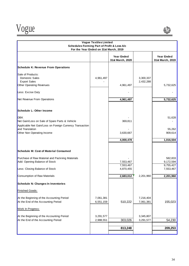

| <b>Schedules Forming Part of Profit &amp; Loss A/c</b>                                                                   | <b>Vogue Textiles Limited</b> |                                       |                        |                                       |
|--------------------------------------------------------------------------------------------------------------------------|-------------------------------|---------------------------------------|------------------------|---------------------------------------|
| For the Year Ended on 31st March, 2019                                                                                   |                               |                                       |                        |                                       |
|                                                                                                                          |                               | <b>Year Ended</b><br>31st March, 2020 |                        | <b>Year Ended</b><br>31st March, 2019 |
| <b>Schedule K: Revenue From Operations</b>                                                                               |                               |                                       |                        |                                       |
| Sale of Products:<br>Domestic Sales<br><b>Export Sales</b><br><b>Other Operating Revenues</b>                            | 4,961,497                     | 4,961,497                             | 3,300,337<br>2,432,288 | 5,732,625                             |
| Less: Excise Duty                                                                                                        |                               |                                       |                        |                                       |
| Net Revenue From Operations                                                                                              |                               | 4,961,497                             |                        | 5,732,625                             |
| Schedule L: Other Income                                                                                                 |                               |                                       |                        |                                       |
| <b>DBK</b><br>Net Gain/Loss on Sale of Spare Parts & Vehicle<br>Applicable Net Gain/Loss on Foreign Currency Transaction |                               | 369,811                               |                        | 51,628                                |
| and Translation<br>Other Non Operating Income                                                                            |                               | 3,630,667                             |                        | 55,262<br>909,614                     |
|                                                                                                                          |                               | 4,000,478                             |                        | 1,016,504                             |
| <b>Schedule M: Cost of Material Consumed</b>                                                                             |                               |                                       |                        |                                       |
| Purchase of Raw Material and Packning Materials<br>Add: Opening Balance of Stock                                         |                               | 7,553,467                             |                        | 582,833<br>9,172,594                  |
| Less: Closing Balance of Stock                                                                                           |                               | 7,553,467<br>4,870,455                |                        | 9,755,427<br>7,553,467                |
| Consumption of Raw Materials                                                                                             |                               | 2,683,012                             | 2,201,960              | 2,201,960                             |
| <b>Schedule N: Changes In Inventories</b>                                                                                |                               |                                       |                        |                                       |
| Finished Goods:                                                                                                          |                               |                                       |                        |                                       |
| At the Beginning of the Accounting Period<br>At the End of the Accounting Period                                         | 7,061,381<br>6,551,159        | 510,222                               | 7,216,404<br>7,061,381 | 155,023                               |
| Work In Progress:                                                                                                        |                               |                                       |                        |                                       |
| At the Beginning of the Accounting Period<br>At the End of the Accounting Period                                         | 3,291,577<br>2,988,551        | 303,026                               | 3,345,807<br>3,291,577 | 54,230                                |
|                                                                                                                          |                               |                                       |                        |                                       |
|                                                                                                                          |                               | 813,248                               |                        | 209,253                               |
|                                                                                                                          |                               |                                       |                        |                                       |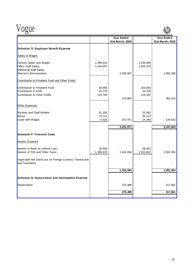

|                                                                             |           | <b>Year Ended</b> |           | <b>Year Ended</b> |
|-----------------------------------------------------------------------------|-----------|-------------------|-----------|-------------------|
|                                                                             |           | 31st March, 2020  |           | 31st March, 2019  |
| Schedule O: Employee Benefit Expense                                        |           |                   |           |                   |
| Salary & Wages:                                                             |           |                   |           |                   |
| Factory Salary and Wages                                                    | 1,395,610 |                   | 1,236,909 |                   |
| Office Staff Salary                                                         | 1,434,297 |                   | 1,625,379 |                   |
| Marketing Staff Salary                                                      |           |                   |           |                   |
| Director's Remuneration                                                     |           | 2,829,907         |           | 2,862,288         |
| Contribution to Provident Fund and Other Funds:                             |           |                   |           |                   |
| Contribution to Provident Fund                                              | 93,959    |                   | 103,093   |                   |
| Contribution to ESIC                                                        | 25,276    |                   | 33,758    |                   |
| Contribution to Other Funds                                                 | 124,758   |                   | 214,162   |                   |
|                                                                             |           | 243,993           |           | 351,013           |
|                                                                             |           |                   |           |                   |
| Other Expenses                                                              |           |                   |           |                   |
| <b>Workers and Staff Welfare</b>                                            | 81,328    |                   | 25,092    |                   |
| Bonus                                                                       | 72,214    |                   | 85,110    |                   |
| Leave with Wages                                                            | 4,429     | 157,971           | 24,340    | 134,542           |
|                                                                             |           |                   |           |                   |
|                                                                             |           | 3,231,871         |           | 3,347,843         |
| <b>Schedule P: Financial Costs</b>                                          |           |                   |           |                   |
| Interest Expense                                                            |           |                   |           |                   |
| Interest to Bank on Vehicle Loan                                            | 32,408    |                   | 58,552    |                   |
| Interest of TDS and Other Taxes                                             | 1,399,676 | 1,432,084         | 1,322,802 | 1,381,354         |
|                                                                             |           |                   |           |                   |
| Applicable Net Gain/Loss on Foreign Currency Transaction<br>and Translation |           |                   |           |                   |
|                                                                             |           |                   |           |                   |
|                                                                             |           | 1,432,084         |           | 1,381,354         |
|                                                                             |           |                   |           |                   |
| Schedule Q: Depreciation and Amortisation Expense                           |           |                   |           |                   |
| Depreciation                                                                |           | 375,498           |           | 417,661           |
|                                                                             |           | 375,498           |           | 417,661           |
|                                                                             |           |                   |           |                   |
|                                                                             |           |                   |           |                   |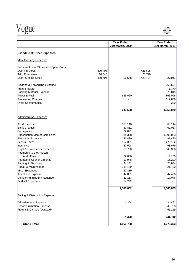

|                                        |         | <b>Year Ended</b> |         | <b>Year Ended</b> |
|----------------------------------------|---------|-------------------|---------|-------------------|
|                                        |         | 31st March, 2020  |         | 31st March, 2019  |
| <b>Schedule R: Other Expenses</b>      |         |                   |         |                   |
| Manufacturing Expense:                 |         |                   |         |                   |
| Consumption of Stores and Spare Parts: |         |                   |         |                   |
| <b>Opening Stock</b>                   | 420,404 |                   | 421,605 |                   |
| Add: Purchases                         | 16,548  |                   | 26,710  |                   |
| Less: Closing Stock                    | 420,404 | 16,548            | 420,404 | 27,911            |
| Clearing & Forwarding Expense          |         |                   |         | 268,691           |
| Freight Inward                         |         |                   |         | 3,370             |
| <b>Packing Material Expense</b>        |         |                   |         | 75,845            |
| Power & Fuel                           |         | 633,020           |         | 865,096           |
| <b>Processing Charges</b>              |         |                   |         | 117,886           |
| Other Consumables                      |         |                   |         | 280               |
|                                        |         | 649,568           |         | 1,359,079         |
|                                        |         |                   |         |                   |
| Administrative Expense:                |         |                   |         |                   |
| <b>AGM Expense</b>                     |         | 109,140           |         | 66,144            |
| <b>Bank Charges</b>                    |         | 37,831            |         | 69,037            |
| Conveyance                             |         | 62,021            |         |                   |
| Subscription/Membership Fees           |         | 134,308           |         | 1,596,033         |
| <b>Electricity Expense</b>             |         | 141,430           |         | 91,420            |
| Fees & Taxes                           |         | 157,331           |         | 473,122           |
| Insurance                              |         | 87,508            |         | 93,679            |
| Legal & Professional Expenses          |         | 69,750            |         | 646,300           |
| Payments to the Auditors:              |         |                   |         |                   |
| <b>Audit Fees</b>                      |         | 22,000            |         | 19,100            |
| Postage & Courier Expense              |         | 13,948            |         | 16,200            |
| Printing & Stationery                  |         | 34,141            |         | 28,834            |
| Repair & Maintenance                   |         | 338,159           |         | 21,400            |
| Misc. Expenses                         |         | 20,889            |         |                   |
| Telephone Expense                      |         | 42,031            |         | 47,490            |
| Vehicle Running Maintenance            |         | 22,153            |         | 17,046            |
| <b>Festival Expenses</b>               |         | 14,222            |         |                   |
|                                        |         | 1,306,862         |         | 3,185,805         |
|                                        |         |                   |         |                   |
| Selling & Distribution Expense         |         |                   |         |                   |
| Advertisement Expense                  |         | 4,308             |         | 34,462            |
| <b>Export Promotion Expense</b>        |         |                   |         | 40,788            |
| Freight & Cartage (Outward)            |         |                   |         | 56,169            |
|                                        |         | 4,308             |         | 131,419           |
|                                        |         |                   |         |                   |
| <b>Grand Total</b>                     |         | 1,960,738         |         | 4,676,303         |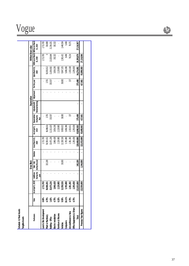

| sset. | sset. |
|-------|-------|
|       |       |

|                            |        |                     |                  | Gross Block     |          |                 |               |                    | Depreciation     |            |              |                | Written Down value              |            |
|----------------------------|--------|---------------------|------------------|-----------------|----------|-----------------|---------------|--------------------|------------------|------------|--------------|----------------|---------------------------------|------------|
| Particulars                | Rate   | As at April 1, 2019 | <b>Additions</b> | Sale / Adj.     | Deletion | As at March 31, | As at April 1 | Depreciation       | Adjusted with    | Adjustment | For the year | Upto March 31, | WDV as on March WDV as on Marcl |            |
|                            |        |                     | During the<br>ar | during the year |          | 2020            | 2019          | During the<br>Year | Retained Earning |            |              | 2020           | 31,2020                         | 31,2019    |
| and & Site Development     | 0.00%  | 2,713,783           |                  |                 |          | 2,713,783       |               |                    |                  |            |              |                | 2,713,783                       | 2,713,783  |
| Plant & Machinery          | 1.75%  | 56,908,201          |                  | 315,189         |          | 56,593,012      | 56,589,311    | 3,701              |                  |            | 3,701        | 56,593,012     |                                 | 318,890    |
| Building - Office          | 1.63%  | 32,675,226          |                  |                 |          | 32,675,226      | 1,321,025     | 333,557            |                  |            | 333,557      | 1,654,582      | 21,020,644                      | 21,354,201 |
| Electric Installation      | 4.75%  | 3,846,428           |                  |                 |          | 3,846,428       | 3,654,106     |                    |                  |            |              | 3,654,106      | 192,322                         | 192,322    |
| Furniture & Fixtures       | 6.33%  | 2,129,985           |                  |                 |          | 2,129,985       | 2,129,985     |                    |                  |            |              | 2,129,985      |                                 |            |
| Vehicles                   | 9.50%  | 12,358,526          |                  | 30,000          |          | 2,328,526       | 9,909,022     | 38,083             |                  |            | 38,083       | 9,947,105      | 2,381,421                       | 2,449,504  |
| Computers                  | 16.21% | 5,705,880           |                  |                 |          | 5,705,880       | 5,696,386     |                    |                  |            |              | 5,696,386      | 9,494                           | 9,494      |
| Airconditioners & Fans     | 1.75%  | 2,381,382           |                  |                 |          | 2,381,382       | 2,303,011     | 157                |                  |            | 157          | 2,303,168      | 78,214                          | 78,371     |
| Office Equipments & Others | 4.75%  | 2,295,658           |                  |                 |          | 2,295,658       | 2,295,658     |                    |                  |            |              | 2,295,658      |                                 |            |
| Total                      |        | 21,015,069          |                  | 345,189         |          | 120,669,880     | 93,898,503    | 375,498            |                  |            | 375,498      | 94,274,001     | 26,395,879                      | 27,116,567 |
| Prevoius Year Figures      |        | 122,559,069         |                  | ,544,000        |          | 121,015,069     | 93,480,842    | 417,661            |                  |            | 417,661      | 93,898,503     | 27,116,566                      |            |
|                            |        |                     |                  |                 |          |                 |               |                    |                  |            |              |                |                                 |            |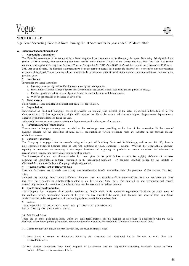

### **SCHEDULE J:**

Significant Accounting Policies & Notes forming Part of Accounts for the year ended 31<sup>st</sup> March 2020:

#### **A. Significant accounting policies**

#### 1. **Accounting Convention:**

The Financial statements of the company have been prepared in accordance with the Generally Accepted Accounting Principles in India (Indian GAAP to comply with accounting Standards notified under Section 211(3C) of the Companies Act, 1956 ('the 1956 Act) (which continue to be applicable in respect of Section 133 of the Companies Act, 2013 ("the 20013 Act") and the relevant provisions of the 1956 Act / 2013 Act, as applicable. The financial statements have been prepared on accrual basis under the historical cost convention except revaluation of certain plots of land. The accounting policies adopted in the preparation of the financial statement are consistent with those followed in the previous year.

#### 2. **Inventories:**

Inventories are valued as under:-

- a. Inventory is as per physical verification conducted by the management.
- b. Stock of Raw Material, Stores & Spares and Consumables are valued at cost (cost being the last purchase price).
- c. Finished goods are valued at cost of production or net realizable value whichever is lower.
- d. Work-in-process has been valued at direct cost.

#### 3. **Fixed assets:**

Fixed Assets are accounted for on historical cost basisless depreciation.

#### 4. **Depreciation:**

Depreciation on fixed and intangible assets is provided on Straight Line method, at the rates prescribed in Schedule I I to The Companies Act, 2013 as applicable to single shift units or the life of the assets, whichever is higher. Proportionate depreciation is charged for additions/deletions during the year.

Individually low cost assets( Upto Rs. 5,000) are depreciated in full within a year of acquisition.

#### 5. **Foreign Exchange Transactions:**

Transactions in foreign currency are recorded at the exchange rates prevailing at the time of the transaction. In the case of liabilities incurred for the acquisition of fixed assets, fluctuations in foreign exchange rates are included in the carrying amount of the fixed assets.

#### 6. **Segment Reporting:**

The Company is engaged into the manufacturing and export of furnishing fabric and its Made-ups, and as per AS 17, there is no Reportable Segment because there is only one segment in which company is dealing. Whereas the Geographical Segment reporting is concerned the company is into export business and exporting its products to various countries. But whereas the risk and return is concerned that is almost similar for all countries.

The break-ups of export and domestic sales has been given in the profit & loss account. By applying definition of business segment and geographical segment contained in the accounting Standard 17 segment reporting issued by the institute of Chartered Accountant ofIndia, the Company is single segmented.

#### 7. **Provision for Current and Deferred Tax:**

Provision for current tax is made after taking into consideration benefit admissible under the provision of The Income Tax Act, 1961.

Deferred Tax resulting from "Timing Difference" between book and taxable profit is accounted for using the tax rates and laws that have been enacted or substantially enacted as on the Balance Sheet date. The deferred tax are recognized and carried forward only to extent that there is reasonable certainity that the assets will be realized in future.

#### 8. **Due to Small Scale Industry:**

The Company has requested all its sundry creditors to furnish Small Scale Industries registration certificate but since none of the creditors having outstanding balance at the year end has furnished the same, it is deemed that none of them is a Small Scale Industries undertaking and no such amount is payable as on the balance sheet date.

#### 9. **Lease:**

The Company has given some unutilized portions of premises on lease during the years  $2019 - 2020$ .

#### 10. Prior Period Items:

There are no other prior period items, which are considered material for the purpose of disclosure in accordance with the AS-5. Net Profit or loss forthe period, prior period in accounting policies issued by The Institute of Chartered Accountants of India.

11. Claims are accounted for, in the year in which they are received/finally settled.

- 12. Debit Notes in respect of deductions made by the Customers are accounted for, in the year in which they are received/ intimated.
- 13. The financial statements have been prepared in accordance with the applicable accounting standards issued by The Institute of Chartered Accountants of India.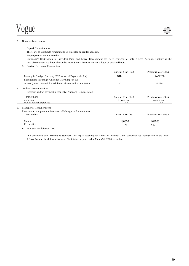

#### B. Notes to the accounts

1. Capital Commitments:

There are no Contracts remaining to be executed on capital account.

- 2. Employee Retirement Benefits: Company's Contribution to Provident Fund and Leave Encashment has been charged to Profit & Loss Account. Gratuity at the time ofretirement has been charged to Profit & Loss Account and calculated on accrued basis.
- 3. Foreign Exchange Transaction:

|    |                                                                | Current Year (Rs.) | Previous Year (Rs.) |
|----|----------------------------------------------------------------|--------------------|---------------------|
|    | Earning in Foreign Currency FOB value of Exports (in Rs.)      | <b>NIL</b>         | 2432288             |
|    | Expenditure in Foreign Currency Travelling (in Rs.)            | -                  | $\qquad \qquad - -$ |
|    | Others (in Rs.) Rental for Exhibition abroad and Commission    | NIL                | 40788               |
| 4. | Auditor's Remuneration:                                        |                    |                     |
|    | Provision and/or payment in respect of Auditor's Remuneration  |                    |                     |
|    | Particulars                                                    | Current Year (Rs.) | Previous Year (Rs.) |
|    | Audit Fee<br>Out of Pocket expenses                            | 22,000.00<br>NIL   | 19,500.00<br>NIL    |
| 5. | <b>Managerial Remuneration:</b>                                |                    |                     |
|    | Provision and/or payment in respect of Managerial Remuneration |                    |                     |
|    | Particulars                                                    | Current Year (Rs.) | Previous Year (Rs.) |
|    | Salary                                                         | 180000             | 264000              |
|    | Perquisites                                                    | Nп                 | <b>NIL</b>          |
|    | Provision for deferred Tax:<br>6.                              |                    |                     |

In Accordance with Accounting Standard (AS-22) "Accounting for Taxes on Income" , the company has recognized in the Profit & Loss Account the deferred tax asset /liability for the year ended March 31, 2020 as under: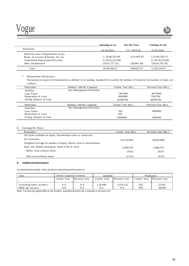|                                       | Opening as on     | <b>For the Year</b> | Closing As On    |
|---------------------------------------|-------------------|---------------------|------------------|
| Particulars                           | 01.04.2019        | F.Y. 2019-20        | 31.03.2020       |
| Difference due to Depreciation as per |                   |                     |                  |
| Books of accounts & Income Tax Act    | 2, 28, 68, 265.89 | 4.22.092.85         | 2,32,90,358.74   |
| Unabsorbed Depreciation & Losses      | (1,39,54,232.00)  | ۰                   | (1,39,54,232.00) |
| Other Disallowance                    | (19,67,727.52)    | (38,065.18)         | (20,05,792,70)   |
| Total                                 | 69, 46, 306. 37   | 3,84,027.67         | 73, 30, 334.03   |

--------------------------------------------------------------------------------------------------------------------------------------------------------------------------------

#### 7. Related Party Disclosures:

Disclosuresin respect of related parties as defined in Accounting Standard 18 issued by the Institute of Chartered Accountant of India, are a follows

| Particulars             | Relation with the Company | Current Year (Rs.) | Previous Year (Rs.) |
|-------------------------|---------------------------|--------------------|---------------------|
| Anil Dutt               | Key Management Personnel  |                    |                     |
| Loan Taken              |                           | 7667000            | 6073800             |
| Repayment of Loan       |                           | 3060000            | 7585700             |
| Closing Balance of Loan |                           | 45360700           | 40699700            |
|                         |                           |                    |                     |
| Particulars             | Relation with the Company | Current Year (Rs.) | Previous Year (Rs.) |
| Sunil Dutt              | Key Management Personnel  |                    |                     |
| Loan Taken              |                           | NIL.               | 1000000             |
| Repayment of Loan       |                           | NIL                | $ -$                |

#### 8. Earnings Per Share:

| Particulars                                                       | Current Year (Rs.) | Previous Year (Rs.) |
|-------------------------------------------------------------------|--------------------|---------------------|
| Net Profit available for Equity Shareholders used as numerator    |                    |                     |
| for calculation                                                   | (19, 18, 504)      | (58,99,086)         |
| Weighted Average for number of Equity Shares used as denominator. | ۰                  | -                   |
| Basic and Diluted earning per share of Rs.10 each                 | 5,900,970          | 5,900,970           |
| Before extra-ordinary items                                       | (0.03)             | (0.07)              |
| After extra-ordinary items                                        | (0.03)             | (0.07)              |

#### **9. Additional Information:**

(a) Quantitative details ofthe products manufactured (in meters)

| Item                                              | <b>Annual Capacity Licensed</b> |                      | Installed        |                      | Production   |                      |
|---------------------------------------------------|---------------------------------|----------------------|------------------|----------------------|--------------|----------------------|
|                                                   | Current Year                    | <b>Previous Year</b> | Current Year     | <b>Previous Year</b> | Current Year | <b>Previous Year</b> |
| Furnishing Fabric (in Mtrs.)<br>Made ups (in pcs) | N.A.<br>N.A.                    | N.A.<br>N.A.         | 1.26.000<br>N.A. | 1.418.152<br>N.A.    | NIL<br>NIL   | 22,942<br>40,805     |

Note: License not applicable as the product manufactured by the Company is license free